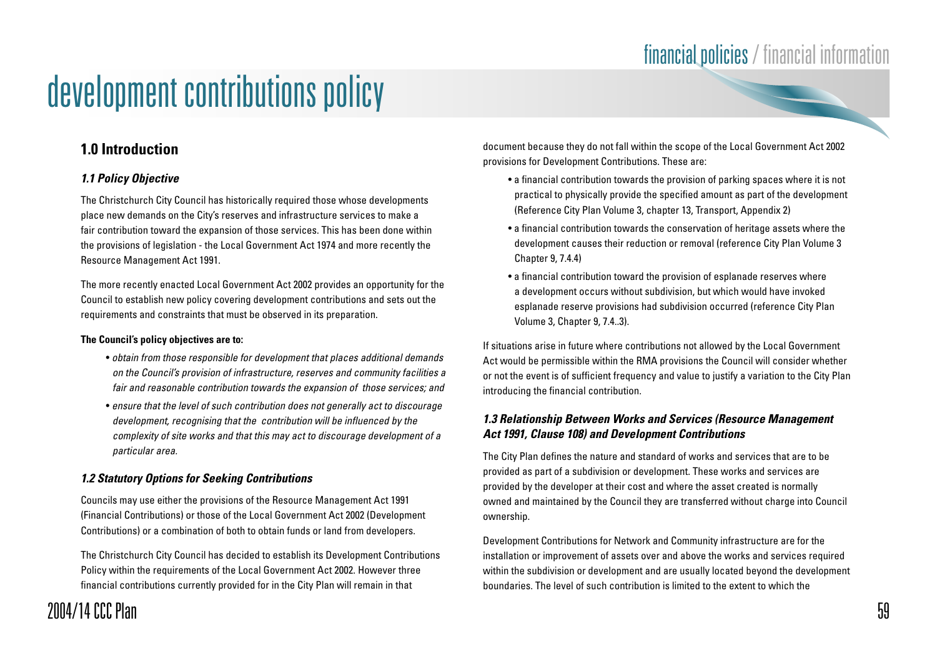### financial policies / financial information

# development contributions policy

### **1.0 Introduction**

#### **1.1 Policy Objective**

The Christchurch City Council has historically required those whose developments place new demands on the City's reserves and infrastructure services to make a fair contribution toward the expansion of those services. This has been done within the provisions of legislation - the Local Government Act 1974 and more recently the Resource Management Act 1991.

The more recently enacted Local Government Act 2002 provides an opportunity for the Council to establish new policy covering development contributions and sets out the requirements and constraints that must be observed in its preparation.

#### **The Council's policy objectives are to:**

- obtain from those responsible for development that places additional demands on the Council's provision of infrastructure, reserves and community facilities a fair and reasonable contribution towards the expansion of those services; and
- ensure that the level of such contribution does not generally act to discourage development, recognising that the contribution will be influenced by the complexity of site works and that this may act to discourage development of a particular area.

#### **1.2 Statutory Options for Seeking Contributions**

Councils may use either the provisions of the Resource Management Act 1991 (Financial Contributions) or those of the Local Government Act 2002 (Development Contributions) or a combination of both to obtain funds or land from developers.

The Christchurch City Council has decided to establish its Development Contributions Policy within the requirements of the Local Government Act 2002. However three financial contributions currently provided for in the City Plan will remain in that

document because they do not fall within the scope of the Local Government Act 2002 provisions for Development Contributions. These are:

- a financial contribution towards the provision of parking spaces where it is not practical to physically provide the specified amount as part of the development (Reference City Plan Volume 3, chapter 13, Transport, Appendix 2)
- a financial contribution towards the conservation of heritage assets where the development causes their reduction or removal (reference City Plan Volume 3 Chapter 9, 7.4.4)
- a financial contribution toward the provision of esplanade reserves where a development occurs without subdivision, but which would have invoked esplanade reserve provisions had subdivision occurred (reference City Plan Volume 3, Chapter 9, 7.4..3).

If situations arise in future where contributions not allowed by the Local Government Act would be permissible within the RMA provisions the Council will consider whether or not the event is of sufficient frequency and value to justify a variation to the City Plan introducing the financial contribution.

#### **1.3 Relationship Between Works and Services (Resource Management Act 1991, Clause 108) and Development Contributions**

The City Plan defines the nature and standard of works and services that are to be provided as part of a subdivision or development. These works and services are provided by the developer at their cost and where the asset created is normally owned and maintained by the Council they are transferred without charge into Council ownership.

Development Contributions for Network and Community infrastructure are for the installation or improvement of assets over and above the works and services required within the subdivision or development and are usually located beyond the development boundaries. The level of such contribution is limited to the extent to which the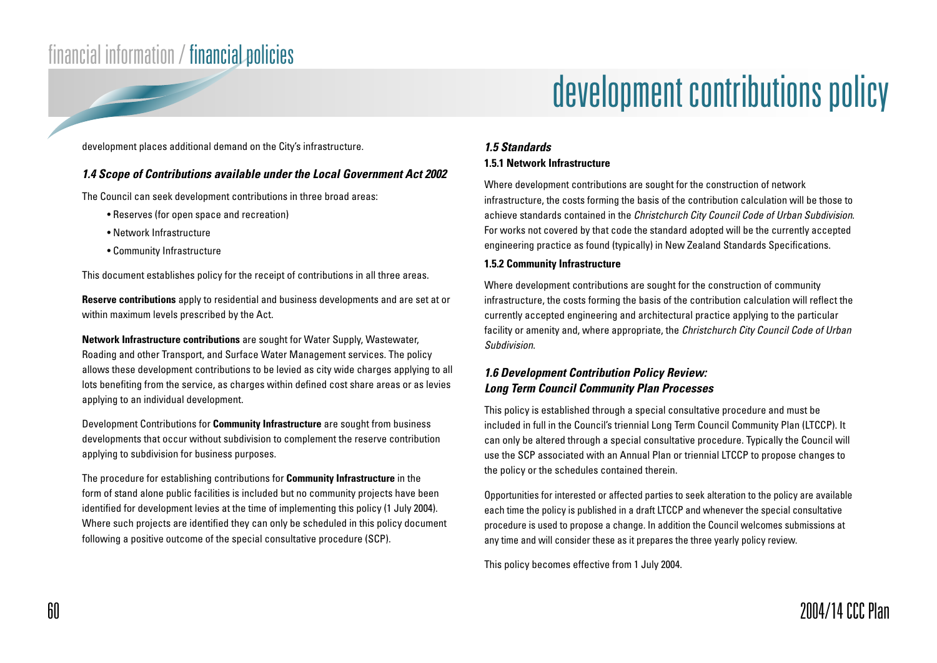# development contributions policy

development places additional demand on the City's infrastructure.

#### **1.4 Scope of Contributions available under the Local Government Act 2002**

The Council can seek development contributions in three broad areas:

- Reserves (for open space and recreation)
- Network Infrastructure
- Community Infrastructure

This document establishes policy for the receipt of contributions in all three areas.

**Reserve contributions** apply to residential and business developments and are set at or within maximum levels prescribed by the Act.

**Network Infrastructure contributions** are sought for Water Supply, Wastewater, Roading and other Transport, and Surface Water Management services. The policy allows these development contributions to be levied as city wide charges applying to all lots benefiting from the service, as charges within defined cost share areas or as levies applying to an individual development.

Development Contributions for **Community Infrastructure** are sought from business developments that occur without subdivision to complement the reserve contribution applying to subdivision for business purposes.

The procedure for establishing contributions for **Community Infrastructure** in the form of stand alone public facilities is included but no community projects have been identified for development levies at the time of implementing this policy (1 July 2004). Where such projects are identified they can only be scheduled in this policy document following a positive outcome of the special consultative procedure (SCP).

### **1.5 Standards**

#### **1.5.1 Network Infrastructure**

Where development contributions are sought for the construction of network infrastructure, the costs forming the basis of the contribution calculation will be those to achieve standards contained in the Christchurch City Council Code of Urban Subdivision. For works not covered by that code the standard adopted will be the currently accepted engineering practice as found (typically) in New Zealand Standards Specifications.

#### **1.5.2 Community Infrastructure**

Where development contributions are sought for the construction of community infrastructure, the costs forming the basis of the contribution calculation will reflect the currently accepted engineering and architectural practice applying to the particular facility or amenity and, where appropriate, the *Christchurch City Council Code of Urban* Subdivision.

#### **1.6 Development Contribution Policy Review: Long Term Council Community Plan Processes**

This policy is established through a special consultative procedure and must be included in full in the Council's triennial Long Term Council Community Plan (LTCCP). It can only be altered through a special consultative procedure. Typically the Council will use the SCP associated with an Annual Plan or triennial LTCCP to propose changes to the policy or the schedules contained therein.

Opportunities for interested or affected parties to seek alteration to the policy are available each time the policy is published in a draft LTCCP and whenever the special consultative procedure is used to propose a change. In addition the Council welcomes submissions at any time and will consider these as it prepares the three yearly policy review.

This policy becomes effective from 1 July 2004.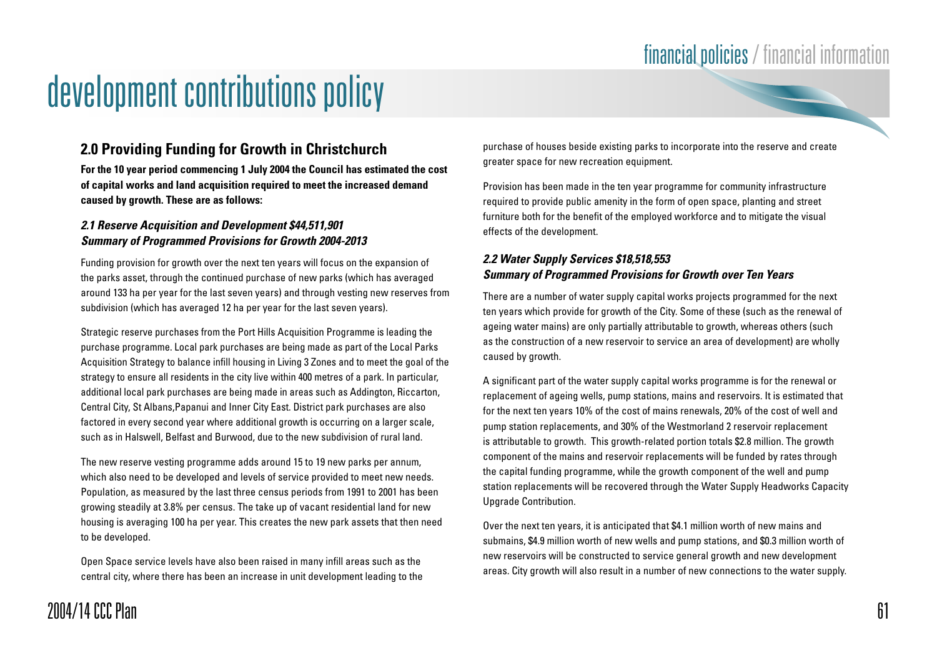### **2.0 Providing Funding for Growth in Christchurch**

**For the 10 year period commencing 1 July 2004 the Council has estimated the cost of capital works and land acquisition required to meet the increased demand caused by growth. These are as follows:**

#### **2.1 Reserve Acquisition and Development \$44,511,901 Summary of Programmed Provisions for Growth 2004-2013**

Funding provision for growth over the next ten years will focus on the expansion of the parks asset, through the continued purchase of new parks (which has averaged around 133 ha per year for the last seven years) and through vesting new reserves from subdivision (which has averaged 12 ha per year for the last seven years).

Strategic reserve purchases from the Port Hills Acquisition Programme is leading the purchase programme. Local park purchases are being made as part of the Local Parks Acquisition Strategy to balance infill housing in Living 3 Zones and to meet the goal of the strategy to ensure all residents in the city live within 400 metres of a park. In particular, additional local park purchases are being made in areas such as Addington, Riccarton, Central City, St Albans,Papanui and Inner City East. District park purchases are also factored in every second year where additional growth is occurring on a larger scale, such as in Halswell, Belfast and Burwood, due to the new subdivision of rural land.

The new reserve vesting programme adds around 15 to 19 new parks per annum, which also need to be developed and levels of service provided to meet new needs. Population, as measured by the last three census periods from 1991 to 2001 has been growing steadily at 3.8% per census. The take up of vacant residential land for new housing is averaging 100 ha per year. This creates the new park assets that then need to be developed.

Open Space service levels have also been raised in many infill areas such as the central city, where there has been an increase in unit development leading to the purchase of houses beside existing parks to incorporate into the reserve and create greater space for new recreation equipment.

Provision has been made in the ten year programme for community infrastructure required to provide public amenity in the form of open space, planting and street furniture both for the benefit of the employed workforce and to mitigate the visual effects of the development.

#### **2.2 Water Supply Services \$18,518,553 Summary of Programmed Provisions for Growth over Ten Years**

There are a number of water supply capital works projects programmed for the next ten years which provide for growth of the City. Some of these (such as the renewal of ageing water mains) are only partially attributable to growth, whereas others (such as the construction of a new reservoir to service an area of development) are wholly caused by growth.

A significant part of the water supply capital works programme is for the renewal or replacement of ageing wells, pump stations, mains and reservoirs. It is estimated that for the next ten years 10% of the cost of mains renewals, 20% of the cost of well and pump station replacements, and 30% of the Westmorland 2 reservoir replacement is attributable to growth. This growth-related portion totals \$2.8 million. The growth component of the mains and reservoir replacements will be funded by rates through the capital funding programme, while the growth component of the well and pump station replacements will be recovered through the Water Supply Headworks Capacity Upgrade Contribution.

Over the next ten years, it is anticipated that \$4.1 million worth of new mains and submains, \$4.9 million worth of new wells and pump stations, and \$0.3 million worth of new reservoirs will be constructed to service general growth and new development areas. City growth will also result in a number of new connections to the water supply.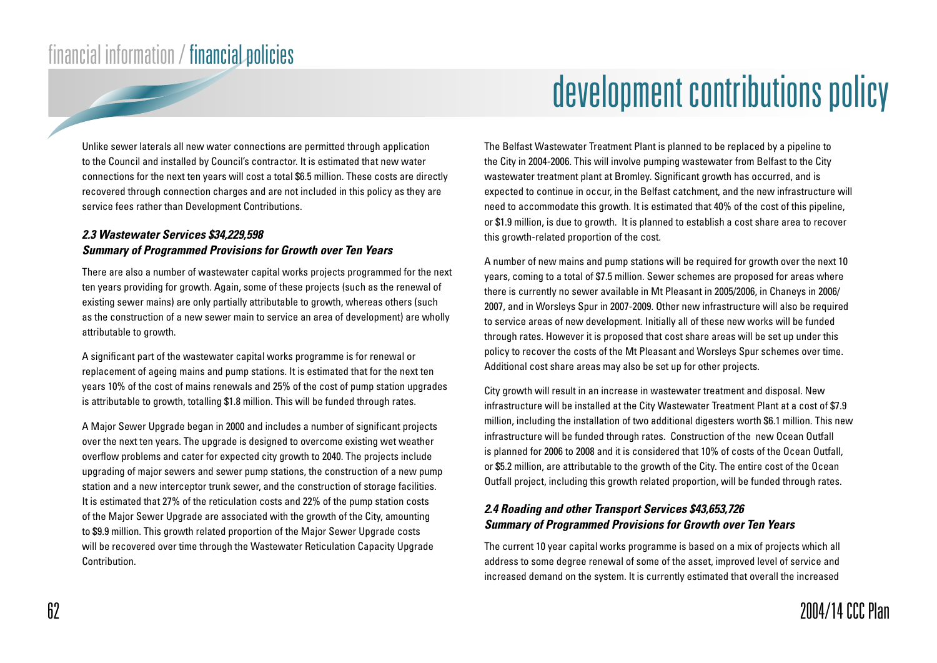Unlike sewer laterals all new water connections are permitted through application to the Council and installed by Council's contractor. It is estimated that new water connections for the next ten years will cost a total \$6.5 million. These costs are directly recovered through connection charges and are not included in this policy as they are service fees rather than Development Contributions.

#### **2.3 Wastewater Services \$34,229,598 Summary of Programmed Provisions for Growth over Ten Years**

There are also a number of wastewater capital works projects programmed for the next ten years providing for growth. Again, some of these projects (such as the renewal of existing sewer mains) are only partially attributable to growth, whereas others (such as the construction of a new sewer main to service an area of development) are wholly attributable to growth.

A significant part of the wastewater capital works programme is for renewal or replacement of ageing mains and pump stations. It is estimated that for the next ten years 10% of the cost of mains renewals and 25% of the cost of pump station upgrades is attributable to growth, totalling \$1.8 million. This will be funded through rates.

A Major Sewer Upgrade began in 2000 and includes a number of significant projects over the next ten years. The upgrade is designed to overcome existing wet weather overflow problems and cater for expected city growth to 2040. The projects include upgrading of major sewers and sewer pump stations, the construction of a new pump station and a new interceptor trunk sewer, and the construction of storage facilities. It is estimated that 27% of the reticulation costs and 22% of the pump station costs of the Major Sewer Upgrade are associated with the growth of the City, amounting to \$9.9 million. This growth related proportion of the Major Sewer Upgrade costs will be recovered over time through the Wastewater Reticulation Capacity Upgrade **Contribution** 

The Belfast Wastewater Treatment Plant is planned to be replaced by a pipeline to the City in 2004-2006. This will involve pumping wastewater from Belfast to the City wastewater treatment plant at Bromley. Significant growth has occurred, and is expected to continue in occur, in the Belfast catchment, and the new infrastructure will need to accommodate this growth. It is estimated that 40% of the cost of this pipeline, or \$1.9 million, is due to growth. It is planned to establish a cost share area to recover this growth-related proportion of the cost.

A number of new mains and pump stations will be required for growth over the next 10 years, coming to a total of \$7.5 million. Sewer schemes are proposed for areas where there is currently no sewer available in Mt Pleasant in 2005/2006, in Chaneys in 2006/ 2007, and in Worsleys Spur in 2007-2009. Other new infrastructure will also be required to service areas of new development. Initially all of these new works will be funded through rates. However it is proposed that cost share areas will be set up under this policy to recover the costs of the Mt Pleasant and Worsleys Spur schemes over time. Additional cost share areas may also be set up for other projects.

City growth will result in an increase in wastewater treatment and disposal. New infrastructure will be installed at the City Wastewater Treatment Plant at a cost of \$7.9 million, including the installation of two additional digesters worth \$6.1 million. This new infrastructure will be funded through rates. Construction of the new Ocean Outfall is planned for 2006 to 2008 and it is considered that 10% of costs of the Ocean Outfall, or \$5.2 million, are attributable to the growth of the City. The entire cost of the Ocean Outfall project, including this growth related proportion, will be funded through rates.

#### **2.4 Roading and other Transport Services \$43,653,726 Summary of Programmed Provisions for Growth over Ten Years**

The current 10 year capital works programme is based on a mix of projects which all address to some degree renewal of some of the asset, improved level of service and increased demand on the system. It is currently estimated that overall the increased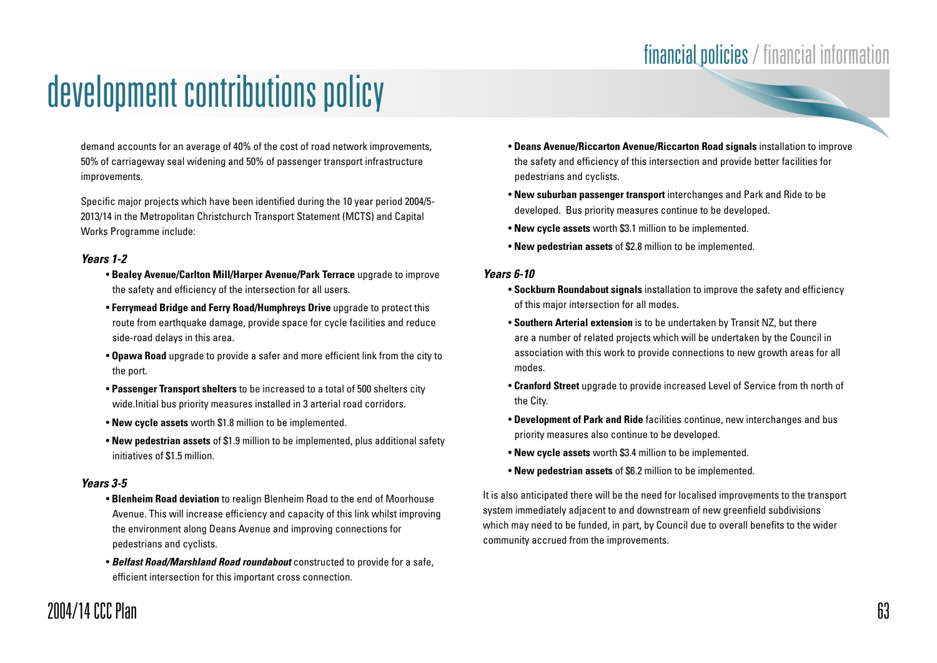demand accounts for an average of 40% of the cost of road network improvements, 50% of carriageway seal widening and 50% of passenger transport infrastructure improvements.

Specific major projects which have been identified during the 10 year period 2004/5- 2013/14 in the Metropolitan Christchurch Transport Statement (MCTS) and Capital Works Programme include:

#### **Years 1-2**

- **Bealey Avenue/Carlton Mill/Harper Avenue/Park Terrace** upgrade to improve the safety and efficiency of the intersection for all users.
- **Ferrymead Bridge and Ferry Road/Humphreys Drive** upgrade to protect this route from earthquake damage, provide space for cycle facilities and reduce side-road delays in this area.
- **Opawa Road** upgrade to provide a safer and more efficient link from the city to the port.
- **Passenger Transport shelters** to be increased to a total of 500 shelters city wide.Initial bus priority measures installed in 3 arterial road corridors.
- **New cycle assets** worth \$1.8 million to be implemented.
- **New pedestrian assets** of \$1.9 million to be implemented, plus additional safety initiatives of \$1.5 million.

#### **Years 3-5**

- **Blenheim Road deviation** to realign Blenheim Road to the end of Moorhouse Avenue. This will increase efficiency and capacity of this link whilst improving the environment along Deans Avenue and improving connections for pedestrians and cyclists.
- **Belfast Road/Marshland Road roundabout** constructed to provide for a safe, efficient intersection for this important cross connection.
- **Deans Avenue/Riccarton Avenue/Riccarton Road signals** installation to improve the safety and efficiency of this intersection and provide better facilities for pedestrians and cyclists.
- **New suburban passenger transport** interchanges and Park and Ride to be developed. Bus priority measures continue to be developed.
- **New cycle assets** worth \$3.1 million to be implemented.
- **New pedestrian assets** of \$2.8 million to be implemented.

#### **Years 6-10**

- **Sockburn Roundabout signals** installation to improve the safety and efficiency of this major intersection for all modes.
- **Southern Arterial extension** is to be undertaken by Transit NZ, but there are a number of related projects which will be undertaken by the Council in association with this work to provide connections to new growth areas for all modes.
- **Cranford Street** upgrade to provide increased Level of Service from th north of the City.
- **Development of Park and Ride** facilities continue, new interchanges and bus priority measures also continue to be developed.
- **New cycle assets** worth \$3.4 million to be implemented.
- **New pedestrian assets** of \$6.2 million to be implemented.

It is also anticipated there will be the need for localised improvements to the transport system immediately adjacent to and downstream of new greenfield subdivisions which may need to be funded, in part, by Council due to overall benefits to the wider community accrued from the improvements.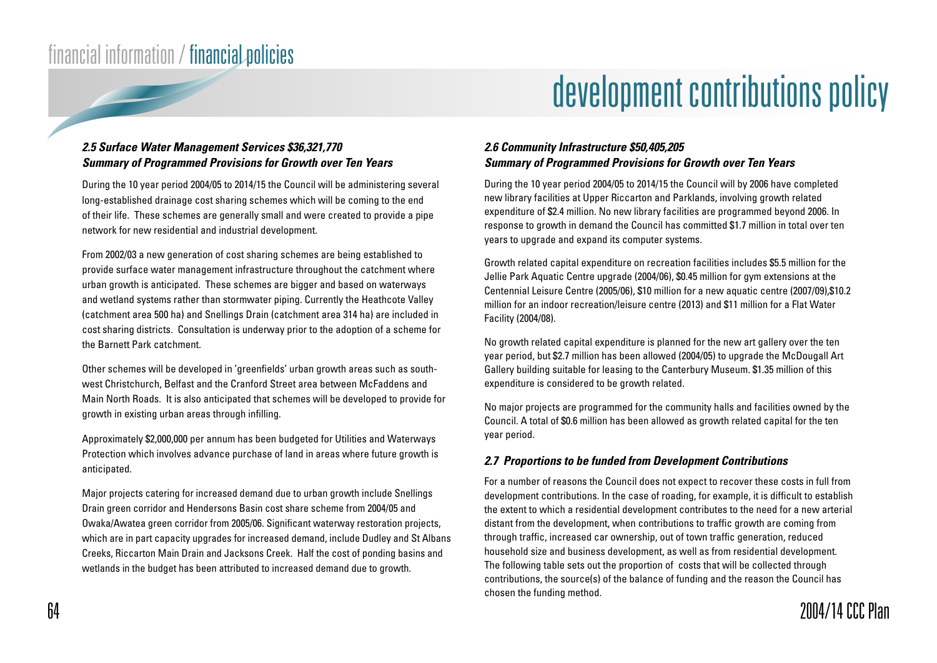# development contributions policy

#### **2.5 Surface Water Management Services \$36,321,770 Summary of Programmed Provisions for Growth over Ten Years**

During the 10 year period 2004/05 to 2014/15 the Council will be administering several long-established drainage cost sharing schemes which will be coming to the end of their life. These schemes are generally small and were created to provide a pipe network for new residential and industrial development.

From 2002/03 a new generation of cost sharing schemes are being established to provide surface water management infrastructure throughout the catchment where urban growth is anticipated. These schemes are bigger and based on waterways and wetland systems rather than stormwater piping. Currently the Heathcote Valley (catchment area 500 ha) and Snellings Drain (catchment area 314 ha) are included in cost sharing districts. Consultation is underway prior to the adoption of a scheme for the Barnett Park catchment.

Other schemes will be developed in 'greenfields' urban growth areas such as southwest Christchurch, Belfast and the Cranford Street area between McFaddens and Main North Roads. It is also anticipated that schemes will be developed to provide for growth in existing urban areas through infilling.

Approximately \$2,000,000 per annum has been budgeted for Utilities and Waterways Protection which involves advance purchase of land in areas where future growth is anticipated.

Major projects catering for increased demand due to urban growth include Snellings Drain green corridor and Hendersons Basin cost share scheme from 2004/05 and Owaka/Awatea green corridor from 2005/06. Significant waterway restoration projects, which are in part capacity upgrades for increased demand, include Dudley and St Albans Creeks, Riccarton Main Drain and Jacksons Creek. Half the cost of ponding basins and wetlands in the budget has been attributed to increased demand due to growth.

#### **2.6 Community Infrastructure \$50,405,205 Summary of Programmed Provisions for Growth over Ten Years**

During the 10 year period 2004/05 to 2014/15 the Council will by 2006 have completed new library facilities at Upper Riccarton and Parklands, involving growth related expenditure of \$2.4 million. No new library facilities are programmed beyond 2006. In response to growth in demand the Council has committed \$1.7 million in total over ten years to upgrade and expand its computer systems.

Growth related capital expenditure on recreation facilities includes \$5.5 million for the Jellie Park Aquatic Centre upgrade (2004/06), \$0.45 million for gym extensions at the Centennial Leisure Centre (2005/06), \$10 million for a new aquatic centre (2007/09),\$10.2 million for an indoor recreation/leisure centre (2013) and \$11 million for a Flat Water Facility (2004/08).

No growth related capital expenditure is planned for the new art gallery over the ten year period, but \$2.7 million has been allowed (2004/05) to upgrade the McDougall Art Gallery building suitable for leasing to the Canterbury Museum. \$1.35 million of this expenditure is considered to be growth related.

No major projects are programmed for the community halls and facilities owned by the Council. A total of \$0.6 million has been allowed as growth related capital for the ten year period.

#### **2.7 Proportions to be funded from Development Contributions**

For a number of reasons the Council does not expect to recover these costs in full from development contributions. In the case of roading, for example, it is difficult to establish the extent to which a residential development contributes to the need for a new arterial distant from the development, when contributions to traffic growth are coming from through traffic, increased car ownership, out of town traffic generation, reduced household size and business development, as well as from residential development. The following table sets out the proportion of costs that will be collected through contributions, the source(s) of the balance of funding and the reason the Council has chosen the funding method.

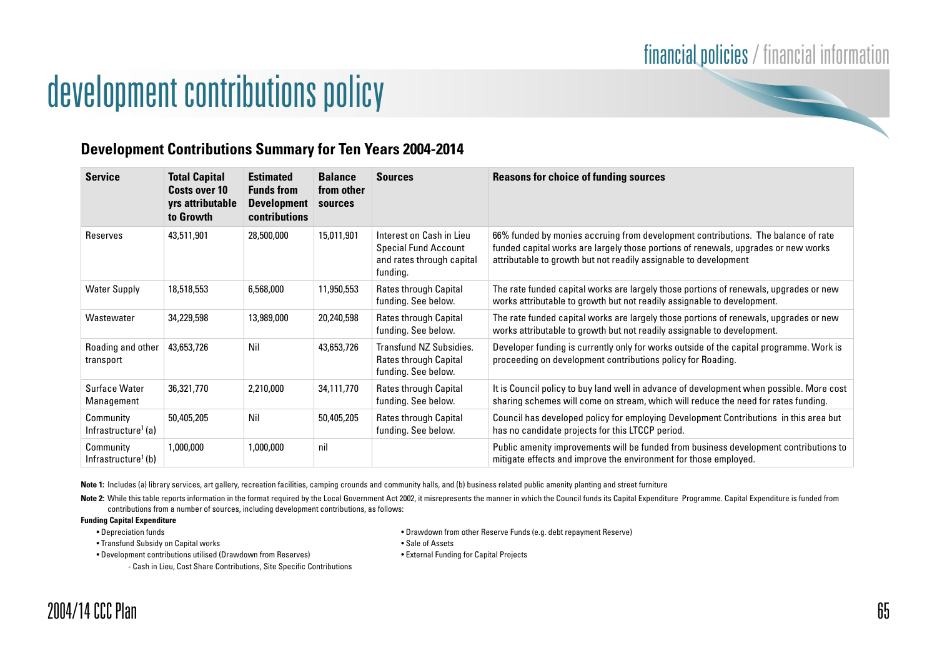

### **Development Contributions Summary for Ten Years 2004-2014**

| <b>Service</b>                               | <b>Total Capital</b><br>Costs over 10<br>yrs attributable<br>to Growth | <b>Estimated</b><br><b>Funds from</b><br><b>Development</b><br><b>contributions</b> | <b>Balance</b><br>from other<br>sources | <b>Sources</b>                                                                                   | <b>Reasons for choice of funding sources</b>                                                                                                                                                                                                |
|----------------------------------------------|------------------------------------------------------------------------|-------------------------------------------------------------------------------------|-----------------------------------------|--------------------------------------------------------------------------------------------------|---------------------------------------------------------------------------------------------------------------------------------------------------------------------------------------------------------------------------------------------|
| Reserves                                     | 43,511,901                                                             | 28,500,000                                                                          | 15,011,901                              | Interest on Cash in Lieu<br><b>Special Fund Account</b><br>and rates through capital<br>funding. | 66% funded by monies accruing from development contributions. The balance of rate<br>funded capital works are largely those portions of renewals, upgrades or new works<br>attributable to growth but not readily assignable to development |
| <b>Water Supply</b>                          | 18,518,553                                                             | 6,568,000                                                                           | 11,950,553                              | Rates through Capital<br>funding. See below.                                                     | The rate funded capital works are largely those portions of renewals, upgrades or new<br>works attributable to growth but not readily assignable to development.                                                                            |
| Wastewater                                   | 34,229,598                                                             | 13,989,000                                                                          | 20,240,598                              | Rates through Capital<br>funding. See below.                                                     | The rate funded capital works are largely those portions of renewals, upgrades or new<br>works attributable to growth but not readily assignable to development.                                                                            |
| Roading and other<br>transport               | 43,653,726                                                             | Nil                                                                                 | 43,653,726                              | Transfund NZ Subsidies.<br>Rates through Capital<br>funding. See below.                          | Developer funding is currently only for works outside of the capital programme. Work is<br>proceeding on development contributions policy for Roading.                                                                                      |
| Surface Water<br>Management                  | 36,321,770                                                             | 2,210,000                                                                           | 34,111,770                              | Rates through Capital<br>funding. See below.                                                     | It is Council policy to buy land well in advance of development when possible. More cost<br>sharing schemes will come on stream, which will reduce the need for rates funding.                                                              |
| Community<br>Infrastructure <sup>1</sup> (a) | 50,405,205                                                             | Nil                                                                                 | 50,405,205                              | Rates through Capital<br>funding. See below.                                                     | Council has developed policy for employing Development Contributions in this area but<br>has no candidate projects for this LTCCP period.                                                                                                   |
| Community<br>Infrastructure <sup>1</sup> (b) | 1,000,000                                                              | 1,000,000                                                                           | nil                                     |                                                                                                  | Public amenity improvements will be funded from business development contributions to<br>mitigate effects and improve the environment for those employed.                                                                                   |

Note 1: Includes (a) library services, art gallery, recreation facilities, camping crounds and community halls, and (b) business related public amenity planting and street furniture

Note 2: While this table reports information in the format required by the Local Government Act 2002, it misrepresents the manner in which the Council funds its Capital Expenditure Programme. Capital Expenditure is funded contributions from a number of sources, including development contributions, as follows:

#### **Funding Capital Expenditure**

• Transfund Subsidy on Capital works • Sale of Assets • Sale of Assets

• Development contributions utilised (Drawdown from Reserves) • External Funding for Capital Projects

- Cash in Lieu, Cost Share Contributions, Site Specific Contributions

- Depreciation funds Drawdown from other Reserve Funds (e.g. debt repayment Reserve)
	-
	-

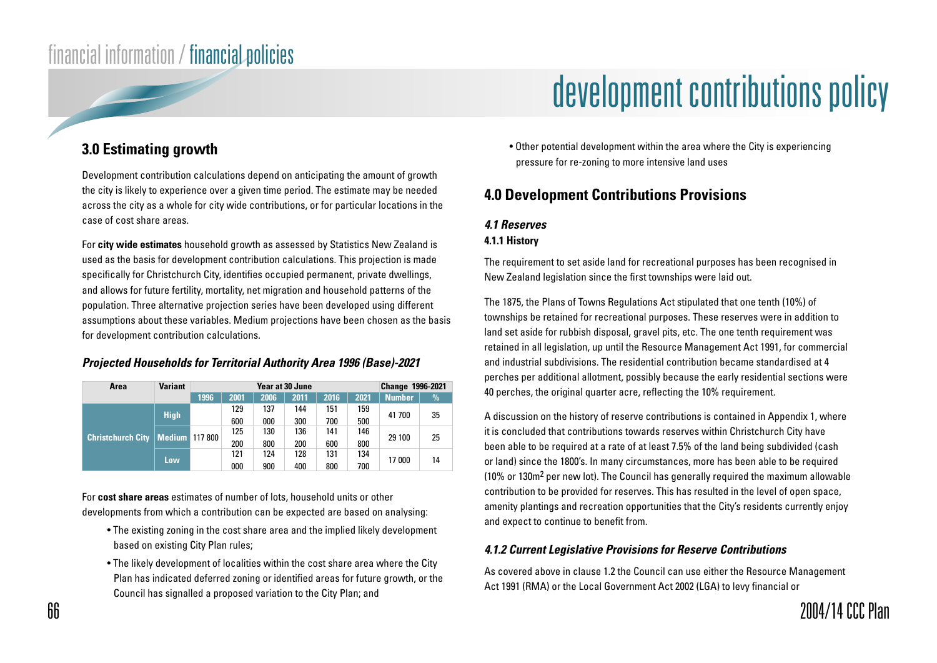### **3.0 Estimating growth**

Development contribution calculations depend on anticipating the amount of growth the city is likely to experience over a given time period. The estimate may be needed across the city as a whole for city wide contributions, or for particular locations in the case of cost share areas.

For **city wide estimates** household growth as assessed by Statistics New Zealand is used as the basis for development contribution calculations. This projection is made specifically for Christchurch City, identifies occupied permanent, private dwellings, and allows for future fertility, mortality, net migration and household patterns of the population. Three alternative projection series have been developed using different assumptions about these variables. Medium projections have been chosen as the basis for development contribution calculations.

#### **Projected Households for Territorial Authority Area 1996 (Base)-2021**

| Area                                | <b>Variant</b> | <b>Year at 30 June</b> |      |         |      |      | <b>Change 1996-2021</b> |               |               |    |
|-------------------------------------|----------------|------------------------|------|---------|------|------|-------------------------|---------------|---------------|----|
|                                     |                | 1996                   | 2001 | 2006    | 2011 | 2016 | 2021                    | <b>Number</b> | $\frac{9}{6}$ |    |
|                                     | <b>High</b>    |                        | 129  | 137     | 144  | 151  | 159                     | 41 700        | 35            |    |
|                                     |                |                        | 600  | 000     | 300  | 700  | 500                     |               |               |    |
|                                     |                |                        |      | 125     | 130  | 136  | 141                     | 146           | 29 100        |    |
| <b>Christchurch City   Medium  </b> |                |                        |      | 117 800 | 200  | 800  | 200                     | 600           | 800           |    |
|                                     | Low            |                        | 121  | 124     | 128  | 131  | 134                     |               |               |    |
|                                     |                |                        |      | 000     | 900  | 400  | 800                     | 700           | 17 000        | 14 |

For **cost share areas** estimates of number of lots, household units or other developments from which a contribution can be expected are based on analysing:

- The existing zoning in the cost share area and the implied likely development based on existing City Plan rules;
- The likely development of localities within the cost share area where the City Plan has indicated deferred zoning or identified areas for future growth, or the Council has signalled a proposed variation to the City Plan; and

## development contributions policy

• Other potential development within the area where the City is experiencing pressure for re-zoning to more intensive land uses

### **4.0 Development Contributions Provisions**

#### **4.1 Reserves**

#### **4.1.1 History**

The requirement to set aside land for recreational purposes has been recognised in New Zealand legislation since the first townships were laid out.

The 1875, the Plans of Towns Regulations Act stipulated that one tenth (10%) of townships be retained for recreational purposes. These reserves were in addition to land set aside for rubbish disposal, gravel pits, etc. The one tenth requirement was retained in all legislation, up until the Resource Management Act 1991, for commercial and industrial subdivisions. The residential contribution became standardised at 4 perches per additional allotment, possibly because the early residential sections were 40 perches, the original quarter acre, reflecting the 10% requirement.

A discussion on the history of reserve contributions is contained in Appendix 1, where it is concluded that contributions towards reserves within Christchurch City have been able to be required at a rate of at least 7.5% of the land being subdivided (cash or land) since the 1800's. In many circumstances, more has been able to be required (10% or 130m2 per new lot). The Council has generally required the maximum allowable contribution to be provided for reserves. This has resulted in the level of open space, amenity plantings and recreation opportunities that the City's residents currently enjoy and expect to continue to benefit from.

#### **4.1.2 Current Legislative Provisions for Reserve Contributions**

As covered above in clause 1.2 the Council can use either the Resource Management Act 1991 (RMA) or the Local Government Act 2002 (LGA) to levy financial or

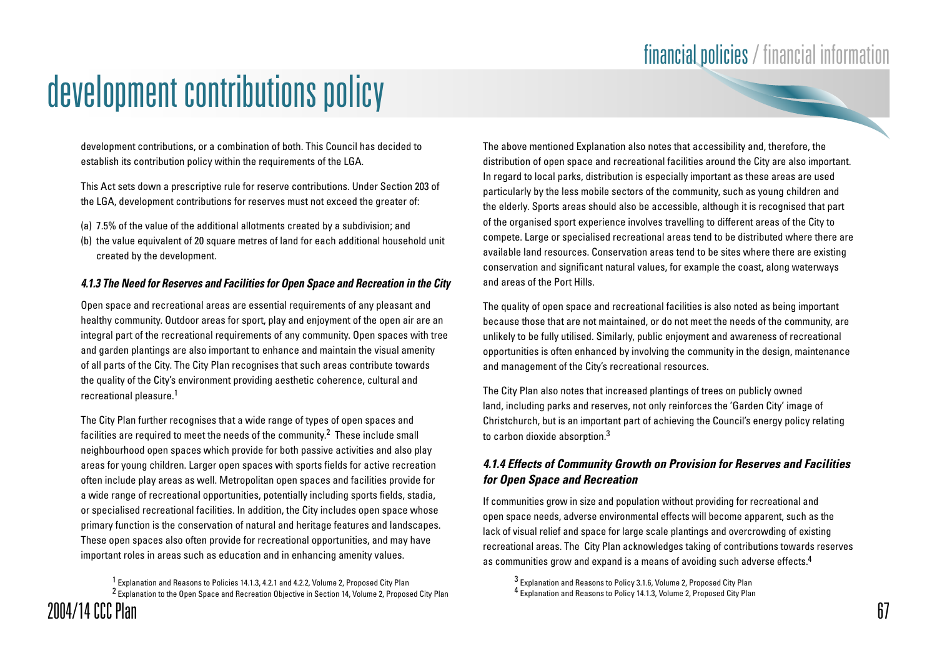development contributions, or a combination of both. This Council has decided to establish its contribution policy within the requirements of the LGA.

This Act sets down a prescriptive rule for reserve contributions. Under Section 203 of the LGA, development contributions for reserves must not exceed the greater of:

- (a) 7.5% of the value of the additional allotments created by a subdivision; and
- (b) the value equivalent of 20 square metres of land for each additional household unit created by the development.

#### **4.1.3 The Need for Reserves and Facilities for Open Space and Recreation in the City**

Open space and recreational areas are essential requirements of any pleasant and healthy community. Outdoor areas for sport, play and enjoyment of the open air are an integral part of the recreational requirements of any community. Open spaces with tree and garden plantings are also important to enhance and maintain the visual amenity of all parts of the City. The City Plan recognises that such areas contribute towards the quality of the City's environment providing aesthetic coherence, cultural and recreational pleasure.1

The City Plan further recognises that a wide range of types of open spaces and facilities are required to meet the needs of the community.2 These include small neighbourhood open spaces which provide for both passive activities and also play areas for young children. Larger open spaces with sports fields for active recreation often include play areas as well. Metropolitan open spaces and facilities provide for a wide range of recreational opportunities, potentially including sports fields, stadia, or specialised recreational facilities. In addition, the City includes open space whose primary function is the conservation of natural and heritage features and landscapes. These open spaces also often provide for recreational opportunities, and may have important roles in areas such as education and in enhancing amenity values.

1 Explanation and Reasons to Policies 14.1.3, 4.2.1 and 4.2.2, Volume 2, Proposed City Plan 2 Explanation to the Open Space and Recreation Objective in Section 14, Volume 2, Proposed City Plan The above mentioned Explanation also notes that accessibility and, therefore, the distribution of open space and recreational facilities around the City are also important. In regard to local parks, distribution is especially important as these areas are used particularly by the less mobile sectors of the community, such as young children and the elderly. Sports areas should also be accessible, although it is recognised that part of the organised sport experience involves travelling to different areas of the City to compete. Large or specialised recreational areas tend to be distributed where there are available land resources. Conservation areas tend to be sites where there are existing conservation and significant natural values, for example the coast, along waterways and areas of the Port Hills.

The quality of open space and recreational facilities is also noted as being important because those that are not maintained, or do not meet the needs of the community, are unlikely to be fully utilised. Similarly, public enjoyment and awareness of recreational opportunities is often enhanced by involving the community in the design, maintenance and management of the City's recreational resources.

The City Plan also notes that increased plantings of trees on publicly owned land, including parks and reserves, not only reinforces the 'Garden City' image of Christchurch, but is an important part of achieving the Council's energy policy relating to carbon dioxide absorption.3

#### **4.1.4 Effects of Community Growth on Provision for Reserves and Facilities for Open Space and Recreation**

If communities grow in size and population without providing for recreational and open space needs, adverse environmental effects will become apparent, such as the lack of visual relief and space for large scale plantings and overcrowding of existing recreational areas. The City Plan acknowledges taking of contributions towards reserves as communities grow and expand is a means of avoiding such adverse effects.<sup>4</sup>

3 Explanation and Reasons to Policy 3.1.6, Volume 2, Proposed City Plan 4 Explanation and Reasons to Policy 14.1.3, Volume 2, Proposed City Plan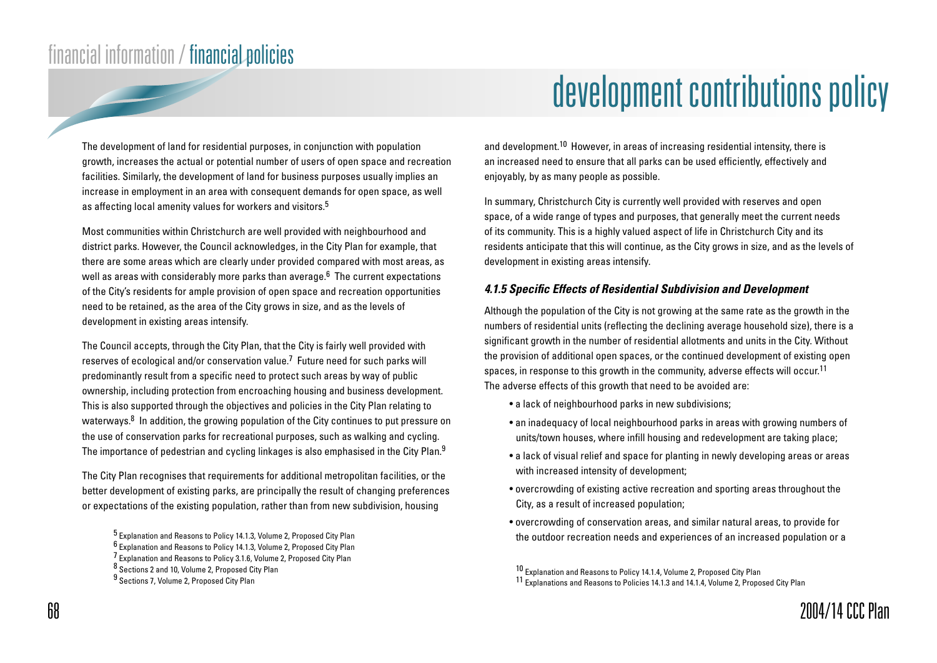## development contributions policy

The development of land for residential purposes, in conjunction with population growth, increases the actual or potential number of users of open space and recreation facilities. Similarly, the development of land for business purposes usually implies an increase in employment in an area with consequent demands for open space, as well as affecting local amenity values for workers and visitors.<sup>5</sup>

Most communities within Christchurch are well provided with neighbourhood and district parks. However, the Council acknowledges, in the City Plan for example, that there are some areas which are clearly under provided compared with most areas, as well as areas with considerably more parks than average.<sup>6</sup> The current expectations of the City's residents for ample provision of open space and recreation opportunities need to be retained, as the area of the City grows in size, and as the levels of development in existing areas intensify.

The Council accepts, through the City Plan, that the City is fairly well provided with reserves of ecological and/or conservation value.7 Future need for such parks will predominantly result from a specific need to protect such areas by way of public ownership, including protection from encroaching housing and business development. This is also supported through the objectives and policies in the City Plan relating to waterways.<sup>8</sup> In addition, the growing population of the City continues to put pressure on the use of conservation parks for recreational purposes, such as walking and cycling. The importance of pedestrian and cycling linkages is also emphasised in the City Plan.<sup>9</sup>

The City Plan recognises that requirements for additional metropolitan facilities, or the better development of existing parks, are principally the result of changing preferences or expectations of the existing population, rather than from new subdivision, housing

7 Explanation and Reasons to Policy 3.1.6, Volume 2, Proposed City Plan

and development.10 However, in areas of increasing residential intensity, there is an increased need to ensure that all parks can be used efficiently, effectively and enjoyably, by as many people as possible.

In summary, Christchurch City is currently well provided with reserves and open space, of a wide range of types and purposes, that generally meet the current needs of its community. This is a highly valued aspect of life in Christchurch City and its residents anticipate that this will continue, as the City grows in size, and as the levels of development in existing areas intensify.

#### **4.1.5 Specific Effects of Residential Subdivision and Development**

Although the population of the City is not growing at the same rate as the growth in the numbers of residential units (reflecting the declining average household size), there is a significant growth in the number of residential allotments and units in the City. Without the provision of additional open spaces, or the continued development of existing open spaces, in response to this growth in the community, adverse effects will occur.<sup>11</sup> The adverse effects of this growth that need to be avoided are:

- a lack of neighbourhood parks in new subdivisions;
- an inadequacy of local neighbourhood parks in areas with growing numbers of units/town houses, where infill housing and redevelopment are taking place;
- a lack of visual relief and space for planting in newly developing areas or areas with increased intensity of development;
- overcrowding of existing active recreation and sporting areas throughout the City, as a result of increased population;
- overcrowding of conservation areas, and similar natural areas, to provide for the outdoor recreation needs and experiences of an increased population or a

<sup>5</sup> Explanation and Reasons to Policy 14.1.3, Volume 2, Proposed City Plan

<sup>6</sup> Explanation and Reasons to Policy 14.1.3, Volume 2, Proposed City Plan

<sup>8</sup> Sections 2 and 10, Volume 2, Proposed City Plan

<sup>9</sup> Sections 7, Volume 2, Proposed City Plan

<sup>10</sup> Explanation and Reasons to Policy 14.1.4, Volume 2, Proposed City Plan

<sup>11</sup> Explanations and Reasons to Policies 14.1.3 and 14.1.4, Volume 2, Proposed City Plan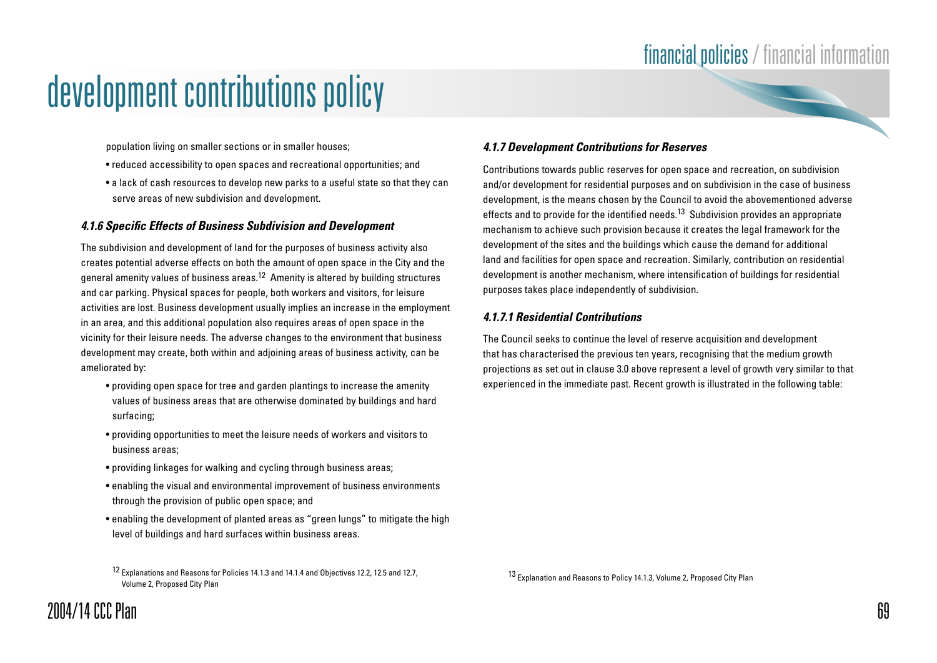

- reduced accessibility to open spaces and recreational opportunities; and
- a lack of cash resources to develop new parks to a useful state so that they can serve areas of new subdivision and development.

#### **4.1.6 Specific Effects of Business Subdivision and Development**

The subdivision and development of land for the purposes of business activity also creates potential adverse effects on both the amount of open space in the City and the general amenity values of business areas.12 Amenity is altered by building structures and car parking. Physical spaces for people, both workers and visitors, for leisure activities are lost. Business development usually implies an increase in the employment in an area, and this additional population also requires areas of open space in the vicinity for their leisure needs. The adverse changes to the environment that business development may create, both within and adjoining areas of business activity, can be ameliorated by:

- providing open space for tree and garden plantings to increase the amenity values of business areas that are otherwise dominated by buildings and hard surfacing;
- providing opportunities to meet the leisure needs of workers and visitors to business areas;
- providing linkages for walking and cycling through business areas;
- enabling the visual and environmental improvement of business environments through the provision of public open space; and
- enabling the development of planted areas as "green lungs" to mitigate the high level of buildings and hard surfaces within business areas.

12 Explanations and Reasons for Policies 14.1.3 and 14.1.4 and Objectives 12.2, 12.5 and 12.7, Volume 2, Proposed City Plan

#### **4.1.7 Development Contributions for Reserves**

Contributions towards public reserves for open space and recreation, on subdivision and/or development for residential purposes and on subdivision in the case of business development, is the means chosen by the Council to avoid the abovementioned adverse effects and to provide for the identified needs.13 Subdivision provides an appropriate mechanism to achieve such provision because it creates the legal framework for the development of the sites and the buildings which cause the demand for additional land and facilities for open space and recreation. Similarly, contribution on residential development is another mechanism, where intensification of buildings for residential purposes takes place independently of subdivision.

#### **4.1.7.1 Residential Contributions**

The Council seeks to continue the level of reserve acquisition and development that has characterised the previous ten years, recognising that the medium growth projections as set out in clause 3.0 above represent a level of growth very similar to that experienced in the immediate past. Recent growth is illustrated in the following table:

13 Explanation and Reasons to Policy 14.1.3, Volume 2, Proposed City Plan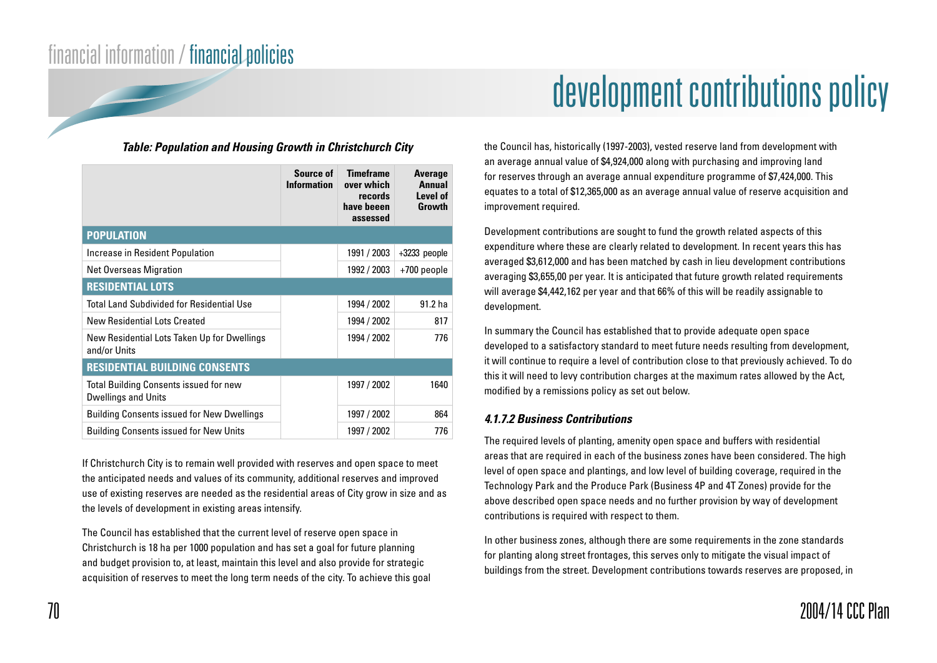#### **Table: Population and Housing Growth in Christchurch City**

|                                                                      | Source of<br><b>Information</b> | <b>Timeframe</b><br>over which<br><b>records</b><br>have beeen<br>assessed | <b>Average</b><br>Annual<br>Level of<br>Growth |
|----------------------------------------------------------------------|---------------------------------|----------------------------------------------------------------------------|------------------------------------------------|
| <b>POPULATION</b>                                                    |                                 |                                                                            |                                                |
| Increase in Resident Population                                      |                                 | 1991 / 2003                                                                | $+3233$ people                                 |
| Net Overseas Migration                                               |                                 | 1992 / 2003                                                                | +700 people                                    |
| <b>RESIDENTIAL LOTS</b>                                              |                                 |                                                                            |                                                |
| <b>Total Land Subdivided for Residential Use</b>                     |                                 | 1994 / 2002                                                                | 91.2 ha                                        |
| New Residential Lots Created                                         |                                 | 1994 / 2002                                                                | 817                                            |
| New Residential Lots Taken Up for Dwellings<br>and/or Units          |                                 | 1994 / 2002                                                                | 776                                            |
| <b>RESIDENTIAL BUILDING CONSENTS</b>                                 |                                 |                                                                            |                                                |
| Total Building Consents issued for new<br><b>Dwellings and Units</b> |                                 | 1997 / 2002                                                                | 1640                                           |
| <b>Building Consents issued for New Dwellings</b>                    |                                 | 1997 / 2002                                                                | 864                                            |
| <b>Building Consents issued for New Units</b>                        |                                 | 1997 / 2002                                                                | 776                                            |

If Christchurch City is to remain well provided with reserves and open space to meet the anticipated needs and values of its community, additional reserves and improved use of existing reserves are needed as the residential areas of City grow in size and as the levels of development in existing areas intensify.

The Council has established that the current level of reserve open space in Christchurch is 18 ha per 1000 population and has set a goal for future planning and budget provision to, at least, maintain this level and also provide for strategic acquisition of reserves to meet the long term needs of the city. To achieve this goal

## development contributions policy

the Council has, historically (1997-2003), vested reserve land from development with an average annual value of \$4,924,000 along with purchasing and improving land for reserves through an average annual expenditure programme of \$7,424,000. This equates to a total of \$12,365,000 as an average annual value of reserve acquisition and improvement required.

Development contributions are sought to fund the growth related aspects of this expenditure where these are clearly related to development. In recent years this has averaged \$3,612,000 and has been matched by cash in lieu development contributions averaging \$3,655,00 per year. It is anticipated that future growth related requirements will average \$4,442,162 per year and that 66% of this will be readily assignable to development.

In summary the Council has established that to provide adequate open space developed to a satisfactory standard to meet future needs resulting from development, it will continue to require a level of contribution close to that previously achieved. To do this it will need to levy contribution charges at the maximum rates allowed by the Act, modified by a remissions policy as set out below.

#### **4.1.7.2 Business Contributions**

The required levels of planting, amenity open space and buffers with residential areas that are required in each of the business zones have been considered. The high level of open space and plantings, and low level of building coverage, required in the Technology Park and the Produce Park (Business 4P and 4T Zones) provide for the above described open space needs and no further provision by way of development contributions is required with respect to them.

In other business zones, although there are some requirements in the zone standards for planting along street frontages, this serves only to mitigate the visual impact of buildings from the street. Development contributions towards reserves are proposed, in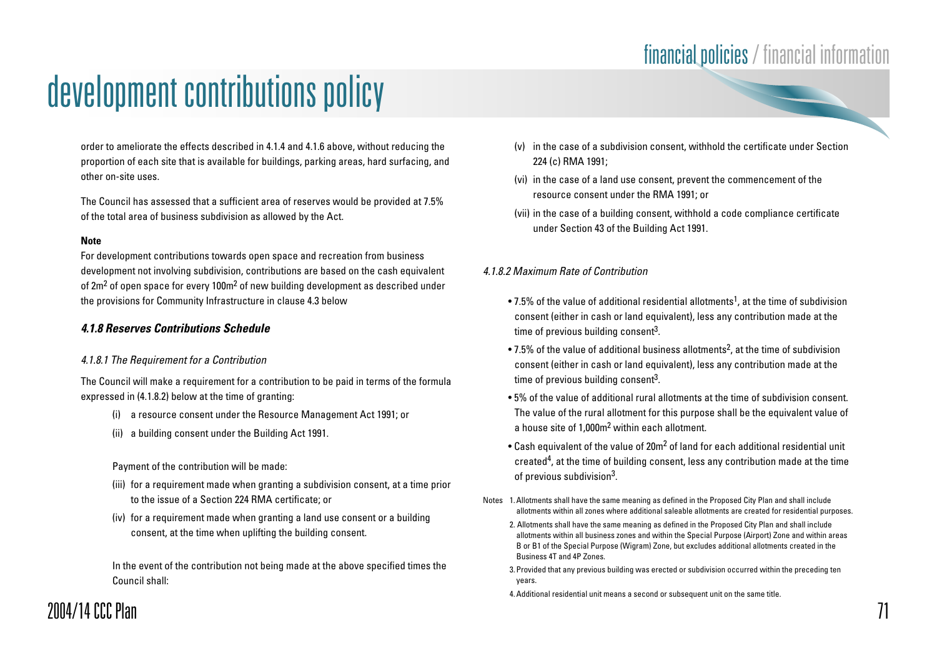order to ameliorate the effects described in 4.1.4 and 4.1.6 above, without reducing the proportion of each site that is available for buildings, parking areas, hard surfacing, and other on-site uses.

The Council has assessed that a sufficient area of reserves would be provided at 7.5% of the total area of business subdivision as allowed by the Act.

#### **Note**

For development contributions towards open space and recreation from business development not involving subdivision, contributions are based on the cash equivalent of 2m<sup>2</sup> of open space for every 100m<sup>2</sup> of new building development as described under the provisions for Community Infrastructure in clause 4.3 below

#### **4.1.8 Reserves Contributions Schedule**

#### 4.1.8.1 The Requirement for a Contribution

The Council will make a requirement for a contribution to be paid in terms of the formula expressed in (4.1.8.2) below at the time of granting:

- (i) a resource consent under the Resource Management Act 1991; or
- (ii) a building consent under the Building Act 1991.

#### Payment of the contribution will be made:

- (iii) for a requirement made when granting a subdivision consent, at a time prior to the issue of a Section 224 RMA certificate; or
- (iv) for a requirement made when granting a land use consent or a building consent, at the time when uplifting the building consent.

In the event of the contribution not being made at the above specified times the Council shall:

- (v) in the case of a subdivision consent, withhold the certificate under Section 224 (c) RMA 1991;
- (vi) in the case of a land use consent, prevent the commencement of the resource consent under the RMA 1991; or
- (vii) in the case of a building consent, withhold a code compliance certificate under Section 43 of the Building Act 1991.

#### 4.1.8.2 Maximum Rate of Contribution

- $\bullet$  7.5% of the value of additional residential allotments<sup>1</sup>, at the time of subdivision consent (either in cash or land equivalent), less any contribution made at the time of previous building consent<sup>3</sup>.
- 7.5% of the value of additional business allotments<sup>2</sup>, at the time of subdivision consent (either in cash or land equivalent), less any contribution made at the time of previous building consent<sup>3</sup>.
- 5% of the value of additional rural allotments at the time of subdivision consent. The value of the rural allotment for this purpose shall be the equivalent value of a house site of 1,000m2 within each allotment.
- Cash equivalent of the value of 20m<sup>2</sup> of land for each additional residential unit created<sup>4</sup>, at the time of building consent, less any contribution made at the time of previous subdivision3.
- Notes 1.Allotments shall have the same meaning as defined in the Proposed City Plan and shall include allotments within all zones where additional saleable allotments are created for residential purposes.
	- 2. Allotments shall have the same meaning as defined in the Proposed City Plan and shall include allotments within all business zones and within the Special Purpose (Airport) Zone and within areas B or B1 of the Special Purpose (Wigram) Zone, but excludes additional allotments created in the Business 4T and 4P Zones.
	- 3.Provided that any previous building was erected or subdivision occurred within the preceding ten years.
	- 4.Additional residential unit means a second or subsequent unit on the same title.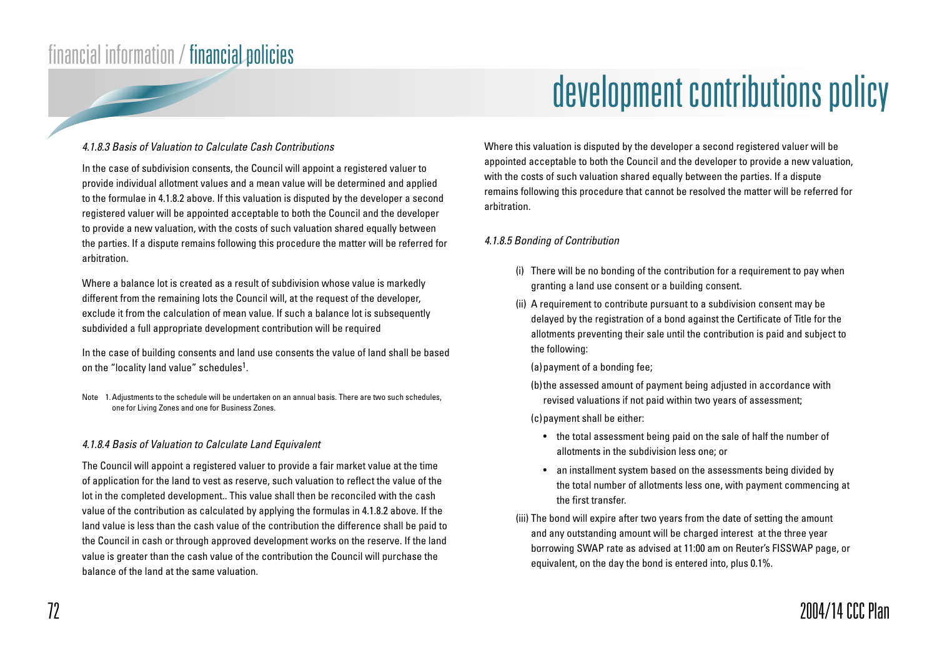# development contributions policy

#### 4.1.8.3 Basis of Valuation to Calculate Cash Contributions

In the case of subdivision consents, the Council will appoint a registered valuer to provide individual allotment values and a mean value will be determined and applied to the formulae in 4.1.8.2 above. If this valuation is disputed by the developer a second registered valuer will be appointed acceptable to both the Council and the developer to provide a new valuation, with the costs of such valuation shared equally between the parties. If a dispute remains following this procedure the matter will be referred for arbitration.

Where a balance lot is created as a result of subdivision whose value is markedly different from the remaining lots the Council will, at the request of the developer, exclude it from the calculation of mean value. If such a balance lot is subsequently subdivided a full appropriate development contribution will be required

In the case of building consents and land use consents the value of land shall be based on the "locality land value" schedules<sup>1</sup>.

Note 1.Adjustments to the schedule will be undertaken on an annual basis. There are two such schedules, one for Living Zones and one for Business Zones.

#### 4.1.8.4 Basis of Valuation to Calculate Land Equivalent

The Council will appoint a registered valuer to provide a fair market value at the time of application for the land to vest as reserve, such valuation to reflect the value of the lot in the completed development.. This value shall then be reconciled with the cash value of the contribution as calculated by applying the formulas in 4.1.8.2 above. If the land value is less than the cash value of the contribution the difference shall be paid to the Council in cash or through approved development works on the reserve. If the land value is greater than the cash value of the contribution the Council will purchase the balance of the land at the same valuation.

Where this valuation is disputed by the developer a second registered valuer will be appointed acceptable to both the Council and the developer to provide a new valuation, with the costs of such valuation shared equally between the parties. If a dispute remains following this procedure that cannot be resolved the matter will be referred for arbitration.

#### 4.1.8.5 Bonding of Contribution

- (i) There will be no bonding of the contribution for a requirement to pay when granting a land use consent or a building consent.
- (ii) A requirement to contribute pursuant to a subdivision consent may be delayed by the registration of a bond against the Certificate of Title for the allotments preventing their sale until the contribution is paid and subject to the following:
	- (a) payment of a bonding fee;
	- (b)the assessed amount of payment being adjusted in accordance with revised valuations if not paid within two years of assessment;

(c)payment shall be either:

- the total assessment being paid on the sale of half the number of allotments in the subdivision less one; or
- an installment system based on the assessments being divided by the total number of allotments less one, with payment commencing at the first transfer.
- (iii) The bond will expire after two years from the date of setting the amount and any outstanding amount will be charged interest at the three year borrowing SWAP rate as advised at 11:00 am on Reuter's FISSWAP page, or equivalent, on the day the bond is entered into, plus 0.1%.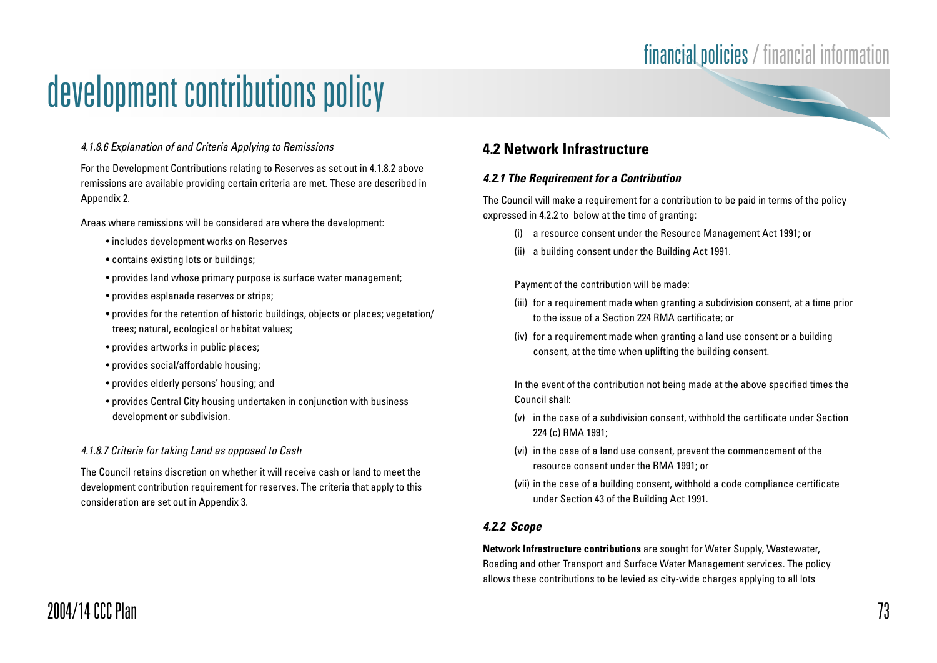# development contributions policy

#### 4.1.8.6 Explanation of and Criteria Applying to Remissions

For the Development Contributions relating to Reserves as set out in 4.1.8.2 above remissions are available providing certain criteria are met. These are described in Appendix 2.

Areas where remissions will be considered are where the development:

- includes development works on Reserves
- contains existing lots or buildings;
- provides land whose primary purpose is surface water management;
- provides esplanade reserves or strips;
- provides for the retention of historic buildings, objects or places; vegetation/ trees; natural, ecological or habitat values;
- provides artworks in public places;
- provides social/affordable housing;
- provides elderly persons' housing; and
- provides Central City housing undertaken in conjunction with business development or subdivision.

#### 4.1.8.7 Criteria for taking Land as opposed to Cash

The Council retains discretion on whether it will receive cash or land to meet the development contribution requirement for reserves. The criteria that apply to this consideration are set out in Appendix 3.

### **4.2 Network Infrastructure**

#### **4.2.1 The Requirement for a Contribution**

The Council will make a requirement for a contribution to be paid in terms of the policy expressed in 4.2.2 to below at the time of granting:

- (i) a resource consent under the Resource Management Act 1991; or
- (ii) a building consent under the Building Act 1991.

Payment of the contribution will be made:

- (iii) for a requirement made when granting a subdivision consent, at a time prior to the issue of a Section 224 RMA certificate; or
- (iv) for a requirement made when granting a land use consent or a building consent, at the time when uplifting the building consent.

In the event of the contribution not being made at the above specified times the Council shall:

- (v) in the case of a subdivision consent, withhold the certificate under Section 224 (c) RMA 1991;
- (vi) in the case of a land use consent, prevent the commencement of the resource consent under the RMA 1991; or
- (vii) in the case of a building consent, withhold a code compliance certificate under Section 43 of the Building Act 1991.

#### **4.2.2 Scope**

**Network Infrastructure contributions** are sought for Water Supply, Wastewater, Roading and other Transport and Surface Water Management services. The policy allows these contributions to be levied as city-wide charges applying to all lots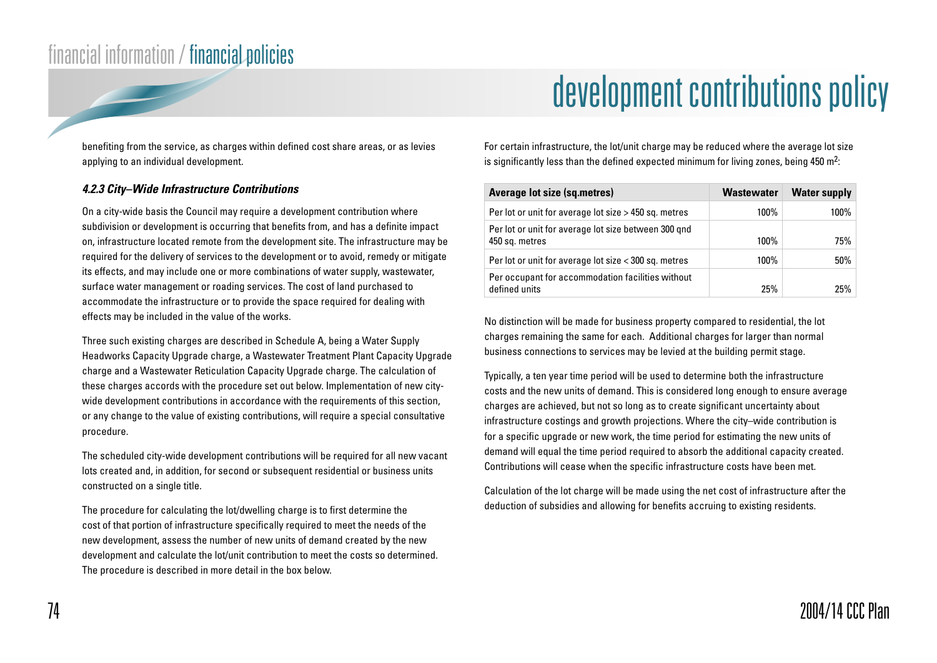# development contributions policy

benefiting from the service, as charges within defined cost share areas, or as levies applying to an individual development.

#### **4.2.3 City–Wide Infrastructure Contributions**

On a city-wide basis the Council may require a development contribution where subdivision or development is occurring that benefits from, and has a definite impact on, infrastructure located remote from the development site. The infrastructure may be required for the delivery of services to the development or to avoid, remedy or mitigate its effects, and may include one or more combinations of water supply, wastewater, surface water management or roading services. The cost of land purchased to accommodate the infrastructure or to provide the space required for dealing with effects may be included in the value of the works.

Three such existing charges are described in Schedule A, being a Water Supply Headworks Capacity Upgrade charge, a Wastewater Treatment Plant Capacity Upgrade charge and a Wastewater Reticulation Capacity Upgrade charge. The calculation of these charges accords with the procedure set out below. Implementation of new citywide development contributions in accordance with the requirements of this section, or any change to the value of existing contributions, will require a special consultative procedure.

The scheduled city-wide development contributions will be required for all new vacant lots created and, in addition, for second or subsequent residential or business units constructed on a single title.

The procedure for calculating the lot/dwelling charge is to first determine the cost of that portion of infrastructure specifically required to meet the needs of the new development, assess the number of new units of demand created by the new development and calculate the lot/unit contribution to meet the costs so determined. The procedure is described in more detail in the box below.

For certain infrastructure, the lot/unit charge may be reduced where the average lot size is significantly less than the defined expected minimum for living zones, being 450  $m^2$ :

| <b>Average lot size (sq.metres)</b>                                    | <b>Wastewater</b> | <b>Water supply</b> |
|------------------------------------------------------------------------|-------------------|---------------------|
| Per lot or unit for average lot size > 450 sq. metres                  | 100%              | 100%                |
| Per lot or unit for average lot size between 300 qnd<br>450 sq. metres | 100%              | 75%                 |
| Per lot or unit for average lot size < 300 sq. metres                  | 100%              | 50%                 |
| Per occupant for accommodation facilities without<br>defined units     | 25%               | 25%                 |

No distinction will be made for business property compared to residential, the lot charges remaining the same for each. Additional charges for larger than normal business connections to services may be levied at the building permit stage.

Typically, a ten year time period will be used to determine both the infrastructure costs and the new units of demand. This is considered long enough to ensure average charges are achieved, but not so long as to create significant uncertainty about infrastructure costings and growth projections. Where the city–wide contribution is for a specific upgrade or new work, the time period for estimating the new units of demand will equal the time period required to absorb the additional capacity created. Contributions will cease when the specific infrastructure costs have been met.

Calculation of the lot charge will be made using the net cost of infrastructure after the deduction of subsidies and allowing for benefits accruing to existing residents.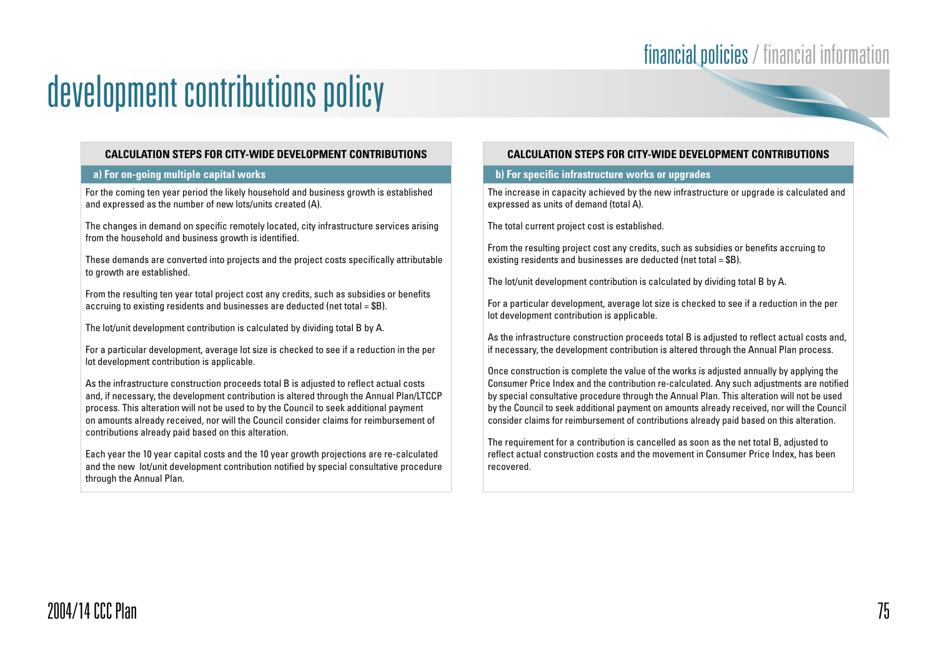#### **CALCULATION STEPS FOR CITY-WIDE DEVELOPMENT CONTRIBUTIONS**

#### **a) For on-going multiple capital works**

For the coming ten year period the likely household and business growth is established and expressed as the number of new lots/units created (A).

The changes in demand on specific remotely located, city infrastructure services arising from the household and business growth is identified.

These demands are converted into projects and the project costs specifically attributable to growth are established.

From the resulting ten year total project cost any credits, such as subsidies or benefits accruing to existing residents and businesses are deducted (net total  $=$  \$B).

The lot/unit development contribution is calculated by dividing total B by A.

For a particular development, average lot size is checked to see if a reduction in the per lot development contribution is applicable.

As the infrastructure construction proceeds total B is adjusted to reflect actual costs and, if necessary, the development contribution is altered through the Annual Plan/LTCCP process. This alteration will not be used to by the Council to seek additional payment on amounts already received, nor will the Council consider claims for reimbursement of contributions already paid based on this alteration.

Each year the 10 year capital costs and the 10 year growth projections are re-calculated and the new lot/unit development contribution notified by special consultative procedure through the Annual Plan.

#### **CALCULATION STEPS FOR CITY-WIDE DEVELOPMENT CONTRIBUTIONS**

#### **b) For specific infrastructure works or upgrades**

The increase in capacity achieved by the new infrastructure or upgrade is calculated and expressed as units of demand (total A).

The total current project cost is established.

From the resulting project cost any credits, such as subsidies or benefits accruing to existing residents and businesses are deducted (net total = \$B).

The lot/unit development contribution is calculated by dividing total B by A.

For a particular development, average lot size is checked to see if a reduction in the per lot development contribution is applicable.

As the infrastructure construction proceeds total B is adjusted to reflect actual costs and, if necessary, the development contribution is altered through the Annual Plan process.

Once construction is complete the value of the works is adjusted annually by applying the Consumer Price Index and the contribution re-calculated. Any such adjustments are notified by special consultative procedure through the Annual Plan. This alteration will not be used by the Council to seek additional payment on amounts already received, nor will the Council consider claims for reimbursement of contributions already paid based on this alteration.

The requirement for a contribution is cancelled as soon as the net total B, adjusted to reflect actual construction costs and the movement in Consumer Price Index, has been recovered.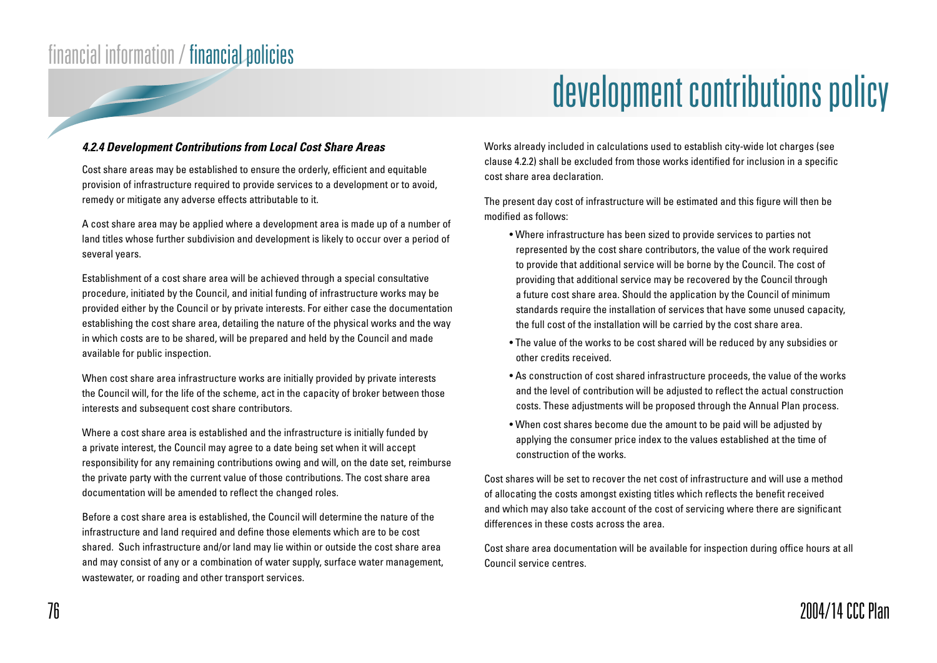## development contributions policy

#### **4.2.4 Development Contributions from Local Cost Share Areas**

Cost share areas may be established to ensure the orderly, efficient and equitable provision of infrastructure required to provide services to a development or to avoid, remedy or mitigate any adverse effects attributable to it.

A cost share area may be applied where a development area is made up of a number of land titles whose further subdivision and development is likely to occur over a period of several years.

Establishment of a cost share area will be achieved through a special consultative procedure, initiated by the Council, and initial funding of infrastructure works may be provided either by the Council or by private interests. For either case the documentation establishing the cost share area, detailing the nature of the physical works and the way in which costs are to be shared, will be prepared and held by the Council and made available for public inspection.

When cost share area infrastructure works are initially provided by private interests the Council will, for the life of the scheme, act in the capacity of broker between those interests and subsequent cost share contributors.

Where a cost share area is established and the infrastructure is initially funded by a private interest, the Council may agree to a date being set when it will accept responsibility for any remaining contributions owing and will, on the date set, reimburse the private party with the current value of those contributions. The cost share area documentation will be amended to reflect the changed roles.

Before a cost share area is established, the Council will determine the nature of the infrastructure and land required and define those elements which are to be cost shared. Such infrastructure and/or land may lie within or outside the cost share area and may consist of any or a combination of water supply, surface water management, wastewater, or roading and other transport services.

Works already included in calculations used to establish city-wide lot charges (see clause 4.2.2) shall be excluded from those works identified for inclusion in a specific cost share area declaration.

The present day cost of infrastructure will be estimated and this figure will then be modified as follows:

- Where infrastructure has been sized to provide services to parties not represented by the cost share contributors, the value of the work required to provide that additional service will be borne by the Council. The cost of providing that additional service may be recovered by the Council through a future cost share area. Should the application by the Council of minimum standards require the installation of services that have some unused capacity, the full cost of the installation will be carried by the cost share area.
- The value of the works to be cost shared will be reduced by any subsidies or other credits received.
- As construction of cost shared infrastructure proceeds, the value of the works and the level of contribution will be adjusted to reflect the actual construction costs. These adjustments will be proposed through the Annual Plan process.
- When cost shares become due the amount to be paid will be adjusted by applying the consumer price index to the values established at the time of construction of the works.

Cost shares will be set to recover the net cost of infrastructure and will use a method of allocating the costs amongst existing titles which reflects the benefit received and which may also take account of the cost of servicing where there are significant differences in these costs across the area.

Cost share area documentation will be available for inspection during office hours at all Council service centres.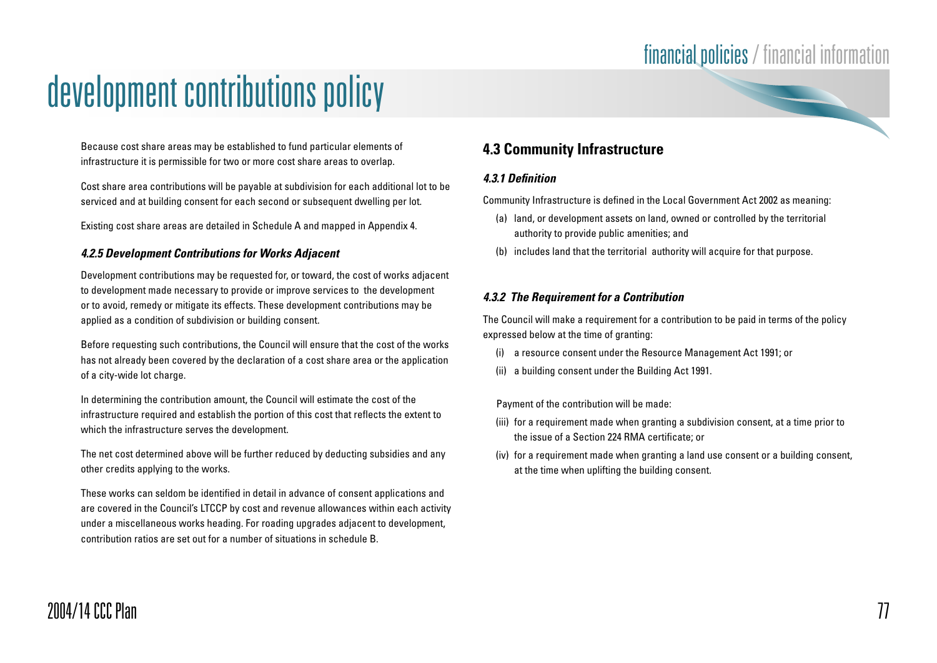# development contributions policy

Because cost share areas may be established to fund particular elements of infrastructure it is permissible for two or more cost share areas to overlap.

Cost share area contributions will be payable at subdivision for each additional lot to be serviced and at building consent for each second or subsequent dwelling per lot.

Existing cost share areas are detailed in Schedule A and mapped in Appendix 4.

#### **4.2.5 Development Contributions for Works Adjacent**

Development contributions may be requested for, or toward, the cost of works adjacent to development made necessary to provide or improve services to the development or to avoid, remedy or mitigate its effects. These development contributions may be applied as a condition of subdivision or building consent.

Before requesting such contributions, the Council will ensure that the cost of the works has not already been covered by the declaration of a cost share area or the application of a city-wide lot charge.

In determining the contribution amount, the Council will estimate the cost of the infrastructure required and establish the portion of this cost that reflects the extent to which the infrastructure serves the development.

The net cost determined above will be further reduced by deducting subsidies and any other credits applying to the works.

These works can seldom be identified in detail in advance of consent applications and are covered in the Council's LTCCP by cost and revenue allowances within each activity under a miscellaneous works heading. For roading upgrades adjacent to development, contribution ratios are set out for a number of situations in schedule B.

### **4.3 Community Infrastructure**

#### **4.3.1 Definition**

Community Infrastructure is defined in the Local Government Act 2002 as meaning:

- (a) land, or development assets on land, owned or controlled by the territorial authority to provide public amenities; and
- (b) includes land that the territorial authority will acquire for that purpose.

#### **4.3.2 The Requirement for a Contribution**

The Council will make a requirement for a contribution to be paid in terms of the policy expressed below at the time of granting:

- (i) a resource consent under the Resource Management Act 1991; or
- (ii) a building consent under the Building Act 1991.

Payment of the contribution will be made:

- (iii) for a requirement made when granting a subdivision consent, at a time prior to the issue of a Section 224 RMA certificate; or
- (iv) for a requirement made when granting a land use consent or a building consent, at the time when uplifting the building consent.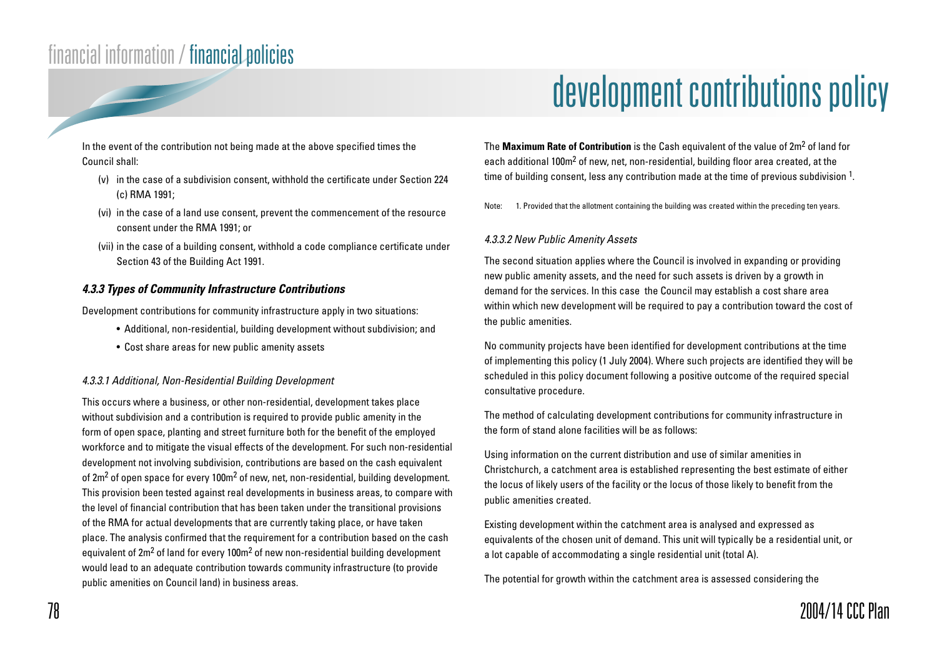In the event of the contribution not being made at the above specified times the Council shall:

- (v) in the case of a subdivision consent, withhold the certificate under Section 224 (c) RMA 1991;
- (vi) in the case of a land use consent, prevent the commencement of the resource consent under the RMA 1991; or
- (vii) in the case of a building consent, withhold a code compliance certificate under Section 43 of the Building Act 1991.

#### **4.3.3 Types of Community Infrastructure Contributions**

Development contributions for community infrastructure apply in two situations:

- Additional, non-residential, building development without subdivision; and
- Cost share areas for new public amenity assets

#### 4.3.3.1 Additional, Non-Residential Building Development

This occurs where a business, or other non-residential, development takes place without subdivision and a contribution is required to provide public amenity in the form of open space, planting and street furniture both for the benefit of the employed workforce and to mitigate the visual effects of the development. For such non-residential development not involving subdivision, contributions are based on the cash equivalent of 2m<sup>2</sup> of open space for every 100m<sup>2</sup> of new, net, non-residential, building development. This provision been tested against real developments in business areas, to compare with the level of financial contribution that has been taken under the transitional provisions of the RMA for actual developments that are currently taking place, or have taken place. The analysis confirmed that the requirement for a contribution based on the cash equivalent of 2m<sup>2</sup> of land for every 100m<sup>2</sup> of new non-residential building development would lead to an adequate contribution towards community infrastructure (to provide public amenities on Council land) in business areas.

## development contributions policy

The **Maximum Rate of Contribution** is the Cash equivalent of the value of 2m2 of land for each additional 100m<sup>2</sup> of new, net, non-residential, building floor area created, at the time of building consent, less any contribution made at the time of previous subdivision  $1$ .

Note: 1. Provided that the allotment containing the building was created within the preceding ten years.

#### 4.3.3.2 New Public Amenity Assets

The second situation applies where the Council is involved in expanding or providing new public amenity assets, and the need for such assets is driven by a growth in demand for the services. In this case the Council may establish a cost share area within which new development will be required to pay a contribution toward the cost of the public amenities.

No community projects have been identified for development contributions at the time of implementing this policy (1 July 2004). Where such projects are identified they will be scheduled in this policy document following a positive outcome of the required special consultative procedure.

The method of calculating development contributions for community infrastructure in the form of stand alone facilities will be as follows:

Using information on the current distribution and use of similar amenities in Christchurch, a catchment area is established representing the best estimate of either the locus of likely users of the facility or the locus of those likely to benefit from the public amenities created.

Existing development within the catchment area is analysed and expressed as equivalents of the chosen unit of demand. This unit will typically be a residential unit, or a lot capable of accommodating a single residential unit (total A).

The potential for growth within the catchment area is assessed considering the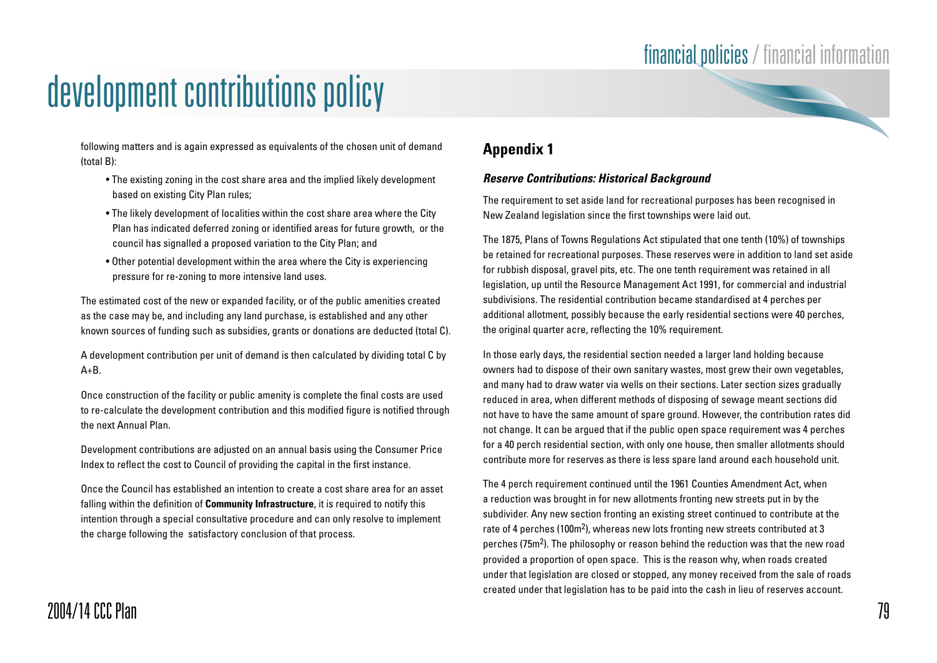$\overline{\phantom{0}}$ 

## development contributions policy

following matters and is again expressed as equivalents of the chosen unit of demand (total B):

- The existing zoning in the cost share area and the implied likely development based on existing City Plan rules;
- The likely development of localities within the cost share area where the City Plan has indicated deferred zoning or identified areas for future growth, or the council has signalled a proposed variation to the City Plan; and
- Other potential development within the area where the City is experiencing pressure for re-zoning to more intensive land uses.

The estimated cost of the new or expanded facility, or of the public amenities created as the case may be, and including any land purchase, is established and any other known sources of funding such as subsidies, grants or donations are deducted (total C).

A development contribution per unit of demand is then calculated by dividing total C by  $A+B$ .

Once construction of the facility or public amenity is complete the final costs are used to re-calculate the development contribution and this modified figure is notified through the next Annual Plan.

Development contributions are adjusted on an annual basis using the Consumer Price Index to reflect the cost to Council of providing the capital in the first instance.

Once the Council has established an intention to create a cost share area for an asset falling within the definition of **Community Infrastructure**, it is required to notify this intention through a special consultative procedure and can only resolve to implement the charge following the satisfactory conclusion of that process.

### **Appendix 1**

#### **Reserve Contributions: Historical Background**

The requirement to set aside land for recreational purposes has been recognised in New Zealand legislation since the first townships were laid out.

The 1875, Plans of Towns Regulations Act stipulated that one tenth (10%) of townships be retained for recreational purposes. These reserves were in addition to land set aside for rubbish disposal, gravel pits, etc. The one tenth requirement was retained in all legislation, up until the Resource Management Act 1991, for commercial and industrial subdivisions. The residential contribution became standardised at 4 perches per additional allotment, possibly because the early residential sections were 40 perches, the original quarter acre, reflecting the 10% requirement.

In those early days, the residential section needed a larger land holding because owners had to dispose of their own sanitary wastes, most grew their own vegetables, and many had to draw water via wells on their sections. Later section sizes gradually reduced in area, when different methods of disposing of sewage meant sections did not have to have the same amount of spare ground. However, the contribution rates did not change. It can be argued that if the public open space requirement was 4 perches for a 40 perch residential section, with only one house, then smaller allotments should contribute more for reserves as there is less spare land around each household unit.

The 4 perch requirement continued until the 1961 Counties Amendment Act, when a reduction was brought in for new allotments fronting new streets put in by the subdivider. Any new section fronting an existing street continued to contribute at the rate of 4 perches (100m2), whereas new lots fronting new streets contributed at 3 perches (75m2). The philosophy or reason behind the reduction was that the new road provided a proportion of open space. This is the reason why, when roads created under that legislation are closed or stopped, any money received from the sale of roads created under that legislation has to be paid into the cash in lieu of reserves account.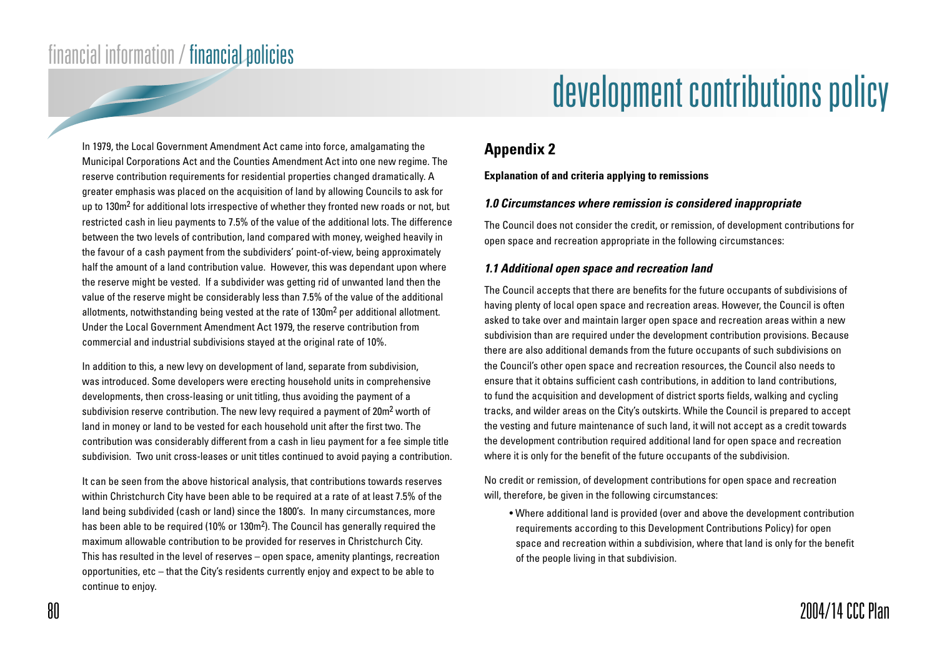# development contributions policy

### **Appendix 2**

#### **Explanation of and criteria applying to remissions**

#### **1.0 Circumstances where remission is considered inappropriate**

The Council does not consider the credit, or remission, of development contributions for open space and recreation appropriate in the following circumstances:

#### **1.1 Additional open space and recreation land**

The Council accepts that there are benefits for the future occupants of subdivisions of having plenty of local open space and recreation areas. However, the Council is often asked to take over and maintain larger open space and recreation areas within a new subdivision than are required under the development contribution provisions. Because there are also additional demands from the future occupants of such subdivisions on the Council's other open space and recreation resources, the Council also needs to ensure that it obtains sufficient cash contributions, in addition to land contributions, to fund the acquisition and development of district sports fields, walking and cycling tracks, and wilder areas on the City's outskirts. While the Council is prepared to accept the vesting and future maintenance of such land, it will not accept as a credit towards the development contribution required additional land for open space and recreation where it is only for the benefit of the future occupants of the subdivision.

No credit or remission, of development contributions for open space and recreation will, therefore, be given in the following circumstances:

• Where additional land is provided (over and above the development contribution requirements according to this Development Contributions Policy) for open space and recreation within a subdivision, where that land is only for the benefit of the people living in that subdivision.

In 1979, the Local Government Amendment Act came into force, amalgamating the Municipal Corporations Act and the Counties Amendment Act into one new regime. The reserve contribution requirements for residential properties changed dramatically. A greater emphasis was placed on the acquisition of land by allowing Councils to ask for up to  $130m<sup>2</sup>$  for additional lots irrespective of whether they fronted new roads or not, but restricted cash in lieu payments to 7.5% of the value of the additional lots. The difference between the two levels of contribution, land compared with money, weighed heavily in the favour of a cash payment from the subdividers' point-of-view, being approximately half the amount of a land contribution value. However, this was dependant upon where the reserve might be vested. If a subdivider was getting rid of unwanted land then the value of the reserve might be considerably less than 7.5% of the value of the additional allotments, notwithstanding being vested at the rate of 130m2 per additional allotment. Under the Local Government Amendment Act 1979, the reserve contribution from commercial and industrial subdivisions stayed at the original rate of 10%.

In addition to this, a new levy on development of land, separate from subdivision, was introduced. Some developers were erecting household units in comprehensive developments, then cross-leasing or unit titling, thus avoiding the payment of a subdivision reserve contribution. The new levy required a payment of 20m<sup>2</sup> worth of land in money or land to be vested for each household unit after the first two. The contribution was considerably different from a cash in lieu payment for a fee simple title subdivision. Two unit cross-leases or unit titles continued to avoid paying a contribution.

It can be seen from the above historical analysis, that contributions towards reserves within Christchurch City have been able to be required at a rate of at least 7.5% of the land being subdivided (cash or land) since the 1800's. In many circumstances, more has been able to be required (10% or 130m<sup>2</sup>). The Council has generally required the maximum allowable contribution to be provided for reserves in Christchurch City. This has resulted in the level of reserves – open space, amenity plantings, recreation opportunities, etc – that the City's residents currently enjoy and expect to be able to continue to enjoy.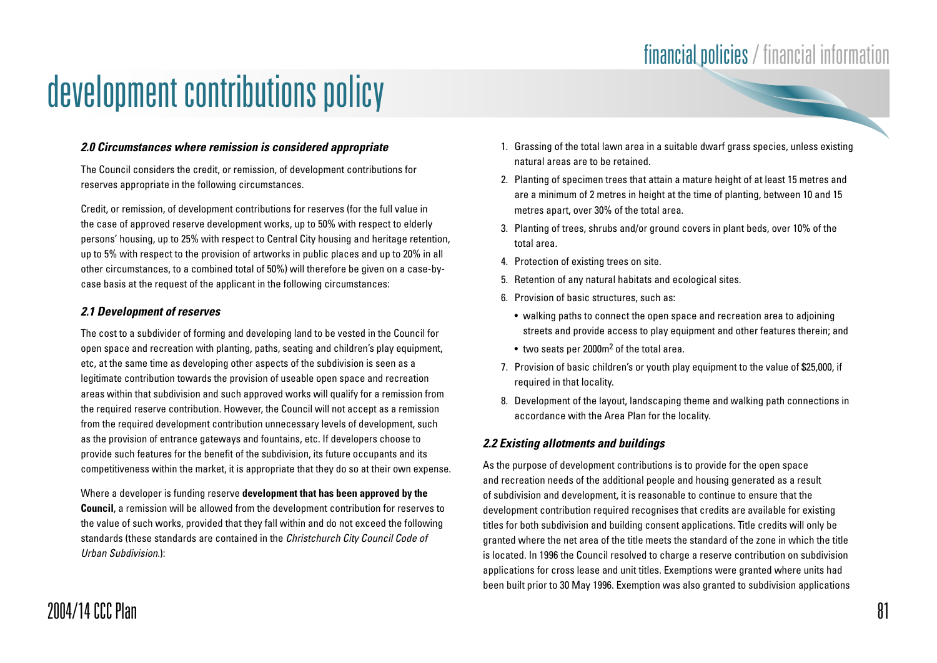#### **2.0 Circumstances where remission is considered appropriate**

The Council considers the credit, or remission, of development contributions for reserves appropriate in the following circumstances.

Credit, or remission, of development contributions for reserves (for the full value in the case of approved reserve development works, up to 50% with respect to elderly persons' housing, up to 25% with respect to Central City housing and heritage retention, up to 5% with respect to the provision of artworks in public places and up to 20% in all other circumstances, to a combined total of 50%) will therefore be given on a case-bycase basis at the request of the applicant in the following circumstances:

#### **2.1 Development of reserves**

The cost to a subdivider of forming and developing land to be vested in the Council for open space and recreation with planting, paths, seating and children's play equipment, etc, at the same time as developing other aspects of the subdivision is seen as a legitimate contribution towards the provision of useable open space and recreation areas within that subdivision and such approved works will qualify for a remission from the required reserve contribution. However, the Council will not accept as a remission from the required development contribution unnecessary levels of development, such as the provision of entrance gateways and fountains, etc. If developers choose to provide such features for the benefit of the subdivision, its future occupants and its competitiveness within the market, it is appropriate that they do so at their own expense.

Where a developer is funding reserve **development that has been approved by the Council**, a remission will be allowed from the development contribution for reserves to the value of such works, provided that they fall within and do not exceed the following standards (these standards are contained in the Christchurch City Council Code of Urban Subdivision.):

- 1. Grassing of the total lawn area in a suitable dwarf grass species, unless existing natural areas are to be retained.
- 2. Planting of specimen trees that attain a mature height of at least 15 metres and are a minimum of 2 metres in height at the time of planting, between 10 and 15 metres apart, over 30% of the total area.
- 3. Planting of trees, shrubs and/or ground covers in plant beds, over 10% of the total area.
- 4. Protection of existing trees on site.
- 5. Retention of any natural habitats and ecological sites.
- 6. Provision of basic structures, such as:
	- walking paths to connect the open space and recreation area to adjoining streets and provide access to play equipment and other features therein; and
	- two seats per 2000m2 of the total area.
- 7. Provision of basic children's or youth play equipment to the value of \$25,000, if required in that locality.
- 8. Development of the layout, landscaping theme and walking path connections in accordance with the Area Plan for the locality.

#### **2.2 Existing allotments and buildings**

As the purpose of development contributions is to provide for the open space and recreation needs of the additional people and housing generated as a result of subdivision and development, it is reasonable to continue to ensure that the development contribution required recognises that credits are available for existing titles for both subdivision and building consent applications. Title credits will only be granted where the net area of the title meets the standard of the zone in which the title is located. In 1996 the Council resolved to charge a reserve contribution on subdivision applications for cross lease and unit titles. Exemptions were granted where units had been built prior to 30 May 1996. Exemption was also granted to subdivision applications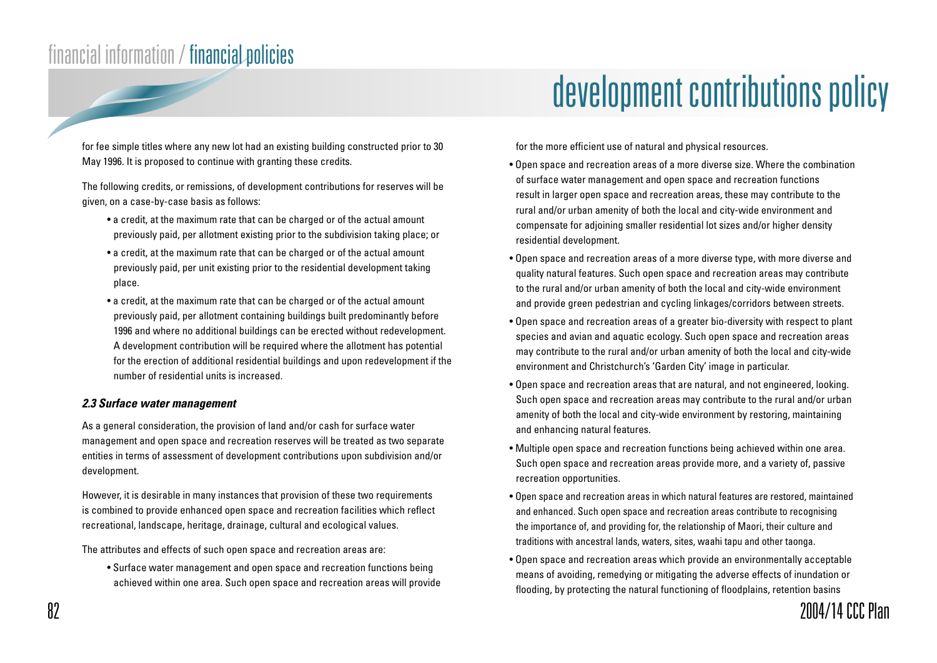for fee simple titles where any new lot had an existing building constructed prior to 30 May 1996. It is proposed to continue with granting these credits.

The following credits, or remissions, of development contributions for reserves will be given, on a case-by-case basis as follows:

- a credit, at the maximum rate that can be charged or of the actual amount previously paid, per allotment existing prior to the subdivision taking place; or
- a credit, at the maximum rate that can be charged or of the actual amount previously paid, per unit existing prior to the residential development taking place.
- a credit, at the maximum rate that can be charged or of the actual amount previously paid, per allotment containing buildings built predominantly before 1996 and where no additional buildings can be erected without redevelopment. A development contribution will be required where the allotment has potential for the erection of additional residential buildings and upon redevelopment if the number of residential units is increased.

#### **2.3 Surface water management**

As a general consideration, the provision of land and/or cash for surface water management and open space and recreation reserves will be treated as two separate entities in terms of assessment of development contributions upon subdivision and/or development.

However, it is desirable in many instances that provision of these two requirements is combined to provide enhanced open space and recreation facilities which reflect recreational, landscape, heritage, drainage, cultural and ecological values.

The attributes and effects of such open space and recreation areas are:

• Surface water management and open space and recreation functions being achieved within one area. Such open space and recreation areas will provide

## development contributions policy

for the more efficient use of natural and physical resources.

- Open space and recreation areas of a more diverse size. Where the combination of surface water management and open space and recreation functions result in larger open space and recreation areas, these may contribute to the rural and/or urban amenity of both the local and city-wide environment and compensate for adjoining smaller residential lot sizes and/or higher density residential development.
- Open space and recreation areas of a more diverse type, with more diverse and quality natural features. Such open space and recreation areas may contribute to the rural and/or urban amenity of both the local and city-wide environment and provide green pedestrian and cycling linkages/corridors between streets.
- Open space and recreation areas of a greater bio-diversity with respect to plant species and avian and aquatic ecology. Such open space and recreation areas may contribute to the rural and/or urban amenity of both the local and city-wide environment and Christchurch's 'Garden City' image in particular.
- Open space and recreation areas that are natural, and not engineered, looking. Such open space and recreation areas may contribute to the rural and/or urban amenity of both the local and city-wide environment by restoring, maintaining and enhancing natural features.
- Multiple open space and recreation functions being achieved within one area. Such open space and recreation areas provide more, and a variety of, passive recreation opportunities.
- Open space and recreation areas in which natural features are restored, maintained and enhanced. Such open space and recreation areas contribute to recognising the importance of, and providing for, the relationship of Maori, their culture and traditions with ancestral lands, waters, sites, waahi tapu and other taonga.
- Open space and recreation areas which provide an environmentally acceptable means of avoiding, remedying or mitigating the adverse effects of inundation or flooding, by protecting the natural functioning of floodplains, retention basins

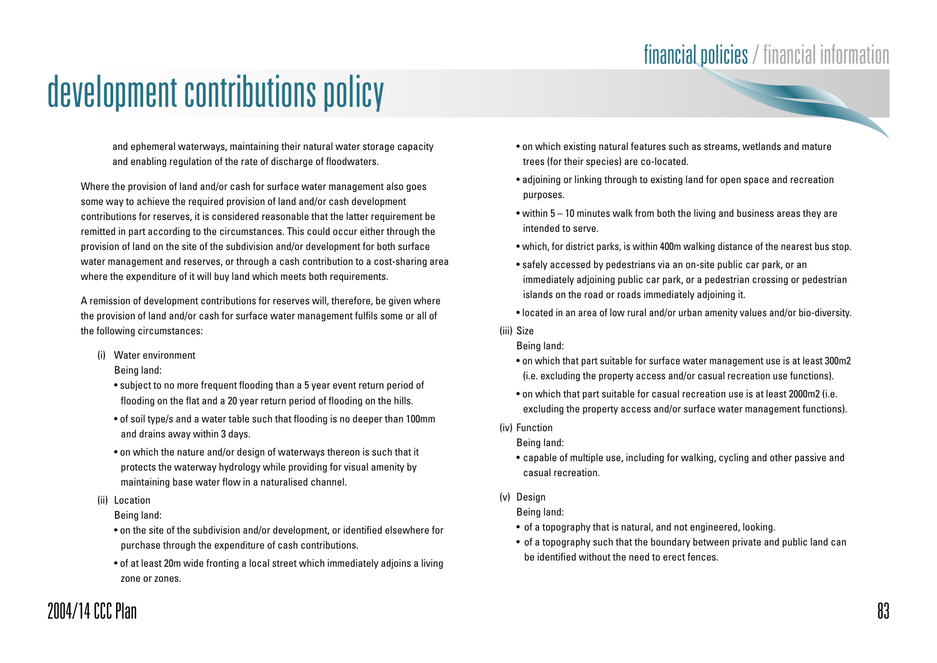and ephemeral waterways, maintaining their natural water storage capacity and enabling regulation of the rate of discharge of floodwaters.

Where the provision of land and/or cash for surface water management also goes some way to achieve the required provision of land and/or cash development contributions for reserves, it is considered reasonable that the latter requirement be remitted in part according to the circumstances. This could occur either through the provision of land on the site of the subdivision and/or development for both surface water management and reserves, or through a cash contribution to a cost-sharing area where the expenditure of it will buy land which meets both requirements.

A remission of development contributions for reserves will, therefore, be given where the provision of land and/or cash for surface water management fulfils some or all of the following circumstances:

(i) Water environment

Being land:

- subject to no more frequent flooding than a 5 year event return period of flooding on the flat and a 20 year return period of flooding on the hills.
- of soil type/s and a water table such that flooding is no deeper than 100mm and drains away within 3 days.
- on which the nature and/or design of waterways thereon is such that it protects the waterway hydrology while providing for visual amenity by maintaining base water flow in a naturalised channel.
- (ii) Location

Being land:

- on the site of the subdivision and/or development, or identified elsewhere for purchase through the expenditure of cash contributions.
- of at least 20m wide fronting a local street which immediately adjoins a living zone or zones.
- on which existing natural features such as streams, wetlands and mature trees (for their species) are co-located.
- adjoining or linking through to existing land for open space and recreation purposes.
- within 5 10 minutes walk from both the living and business areas they are intended to serve.
- which, for district parks, is within 400m walking distance of the nearest bus stop.
- safely accessed by pedestrians via an on-site public car park, or an immediately adjoining public car park, or a pedestrian crossing or pedestrian islands on the road or roads immediately adjoining it.
- located in an area of low rural and/or urban amenity values and/or bio-diversity.
- (iii) Size

Being land:

- on which that part suitable for surface water management use is at least 300m2 (i.e. excluding the property access and/or casual recreation use functions).
- on which that part suitable for casual recreation use is at least 2000m2 (i.e. excluding the property access and/or surface water management functions).
- (iv) Function

Being land:

- capable of multiple use, including for walking, cycling and other passive and casual recreation.
- (v) Design

Being land:

- of a topography that is natural, and not engineered, looking.
- of a topography such that the boundary between private and public land can be identified without the need to erect fences.

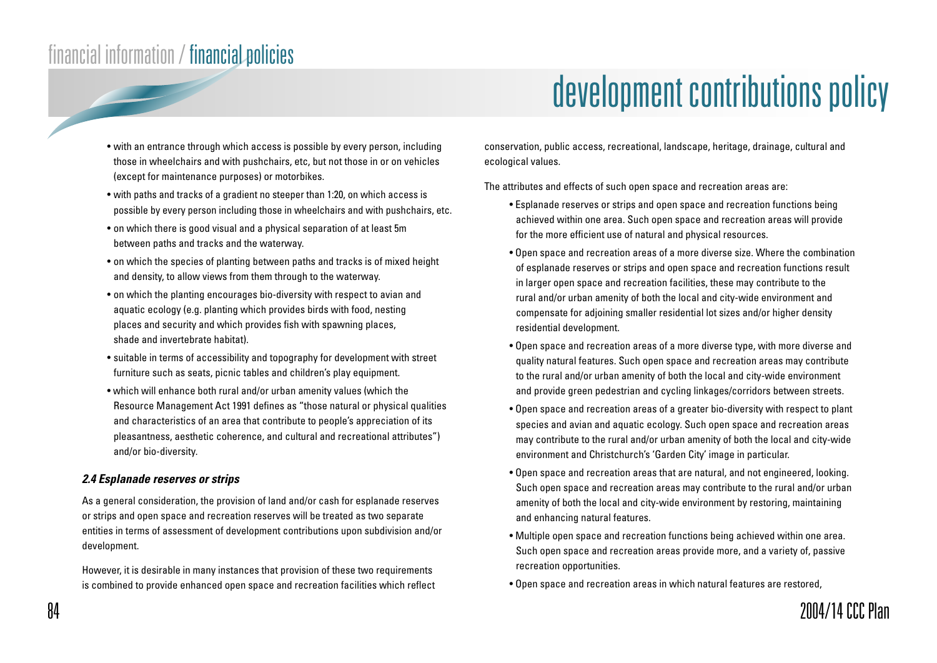# development contributions policy

- with an entrance through which access is possible by every person, including those in wheelchairs and with pushchairs, etc, but not those in or on vehicles (except for maintenance purposes) or motorbikes.
- with paths and tracks of a gradient no steeper than 1:20, on which access is possible by every person including those in wheelchairs and with pushchairs, etc.
- on which there is good visual and a physical separation of at least 5m between paths and tracks and the waterway.
- on which the species of planting between paths and tracks is of mixed height and density, to allow views from them through to the waterway.
- on which the planting encourages bio-diversity with respect to avian and aquatic ecology (e.g. planting which provides birds with food, nesting places and security and which provides fish with spawning places, shade and invertebrate habitat).
- suitable in terms of accessibility and topography for development with street furniture such as seats, picnic tables and children's play equipment.
- which will enhance both rural and/or urban amenity values (which the Resource Management Act 1991 defines as "those natural or physical qualities and characteristics of an area that contribute to people's appreciation of its pleasantness, aesthetic coherence, and cultural and recreational attributes") and/or bio-diversity.

#### **2.4 Esplanade reserves or strips**

As a general consideration, the provision of land and/or cash for esplanade reserves or strips and open space and recreation reserves will be treated as two separate entities in terms of assessment of development contributions upon subdivision and/or development.

However, it is desirable in many instances that provision of these two requirements is combined to provide enhanced open space and recreation facilities which reflect conservation, public access, recreational, landscape, heritage, drainage, cultural and ecological values.

The attributes and effects of such open space and recreation areas are:

- Esplanade reserves or strips and open space and recreation functions being achieved within one area. Such open space and recreation areas will provide for the more efficient use of natural and physical resources.
- Open space and recreation areas of a more diverse size. Where the combination of esplanade reserves or strips and open space and recreation functions result in larger open space and recreation facilities, these may contribute to the rural and/or urban amenity of both the local and city-wide environment and compensate for adjoining smaller residential lot sizes and/or higher density residential development.
- Open space and recreation areas of a more diverse type, with more diverse and quality natural features. Such open space and recreation areas may contribute to the rural and/or urban amenity of both the local and city-wide environment and provide green pedestrian and cycling linkages/corridors between streets.
- Open space and recreation areas of a greater bio-diversity with respect to plant species and avian and aquatic ecology. Such open space and recreation areas may contribute to the rural and/or urban amenity of both the local and city-wide environment and Christchurch's 'Garden City' image in particular.
- Open space and recreation areas that are natural, and not engineered, looking. Such open space and recreation areas may contribute to the rural and/or urban amenity of both the local and city-wide environment by restoring, maintaining and enhancing natural features.
- Multiple open space and recreation functions being achieved within one area. Such open space and recreation areas provide more, and a variety of, passive recreation opportunities.
- Open space and recreation areas in which natural features are restored,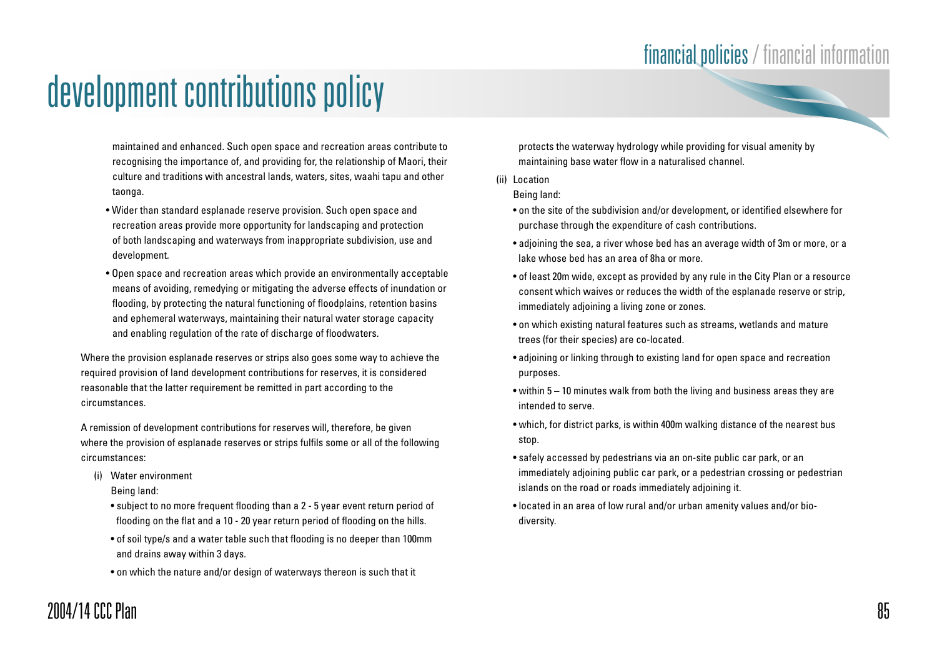maintained and enhanced. Such open space and recreation areas contribute to recognising the importance of, and providing for, the relationship of Maori, their culture and traditions with ancestral lands, waters, sites, waahi tapu and other taonga.

- Wider than standard esplanade reserve provision. Such open space and recreation areas provide more opportunity for landscaping and protection of both landscaping and waterways from inappropriate subdivision, use and development.
- Open space and recreation areas which provide an environmentally acceptable means of avoiding, remedying or mitigating the adverse effects of inundation or flooding, by protecting the natural functioning of floodplains, retention basins and ephemeral waterways, maintaining their natural water storage capacity and enabling regulation of the rate of discharge of floodwaters.

Where the provision esplanade reserves or strips also goes some way to achieve the required provision of land development contributions for reserves, it is considered reasonable that the latter requirement be remitted in part according to the circumstances.

A remission of development contributions for reserves will, therefore, be given where the provision of esplanade reserves or strips fulfils some or all of the following circumstances:

(i) Water environment

Being land:

- subject to no more frequent flooding than a 2 5 year event return period of flooding on the flat and a 10 - 20 year return period of flooding on the hills.
- of soil type/s and a water table such that flooding is no deeper than 100mm and drains away within 3 days.
- on which the nature and/or design of waterways thereon is such that it

protects the waterway hydrology while providing for visual amenity by maintaining base water flow in a naturalised channel.

(ii) Location

Being land:

- on the site of the subdivision and/or development, or identified elsewhere for purchase through the expenditure of cash contributions.
- adjoining the sea, a river whose bed has an average width of 3m or more, or a lake whose bed has an area of 8ha or more.
- of least 20m wide, except as provided by any rule in the City Plan or a resource consent which waives or reduces the width of the esplanade reserve or strip, immediately adjoining a living zone or zones.
- on which existing natural features such as streams, wetlands and mature trees (for their species) are co-located.
- adjoining or linking through to existing land for open space and recreation purposes.
- within 5 10 minutes walk from both the living and business areas they are intended to serve.
- which, for district parks, is within 400m walking distance of the nearest bus stop.
- safely accessed by pedestrians via an on-site public car park, or an immediately adjoining public car park, or a pedestrian crossing or pedestrian islands on the road or roads immediately adjoining it.
- located in an area of low rural and/or urban amenity values and/or biodiversity.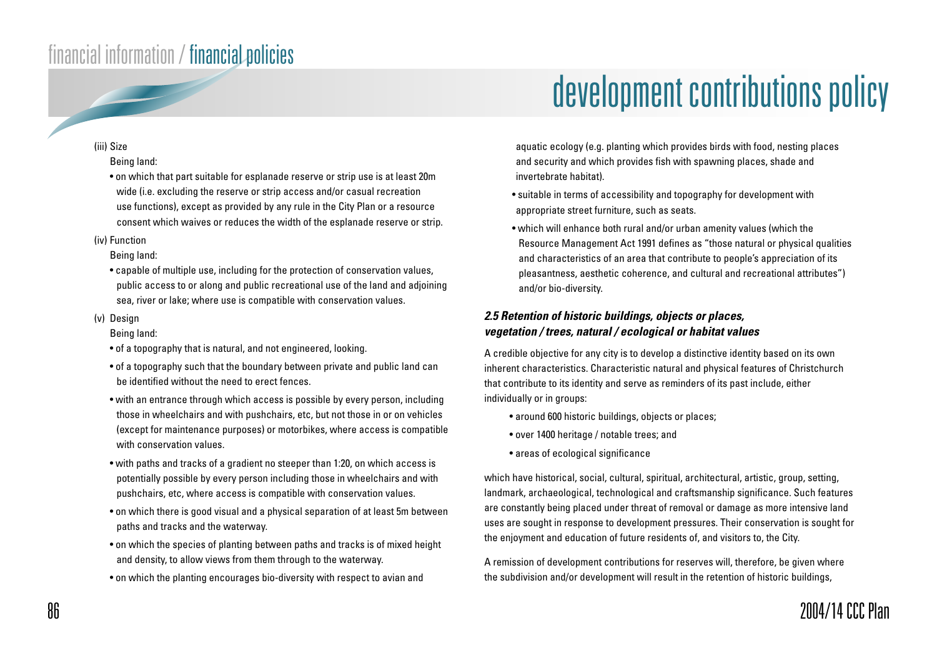## development contributions policy

#### (iii) Size

#### Being land:

• on which that part suitable for esplanade reserve or strip use is at least 20m wide (i.e. excluding the reserve or strip access and/or casual recreation use functions), except as provided by any rule in the City Plan or a resource consent which waives or reduces the width of the esplanade reserve or strip.

#### (iv) Function

#### Being land:

• capable of multiple use, including for the protection of conservation values, public access to or along and public recreational use of the land and adjoining sea, river or lake; where use is compatible with conservation values.

#### (v) Design

#### Being land:

- of a topography that is natural, and not engineered, looking.
- of a topography such that the boundary between private and public land can be identified without the need to erect fences.
- with an entrance through which access is possible by every person, including those in wheelchairs and with pushchairs, etc, but not those in or on vehicles (except for maintenance purposes) or motorbikes, where access is compatible with conservation values.
- with paths and tracks of a gradient no steeper than 1:20, on which access is potentially possible by every person including those in wheelchairs and with pushchairs, etc, where access is compatible with conservation values.
- on which there is good visual and a physical separation of at least 5m between paths and tracks and the waterway.
- on which the species of planting between paths and tracks is of mixed height and density, to allow views from them through to the waterway.
- on which the planting encourages bio-diversity with respect to avian and

aquatic ecology (e.g. planting which provides birds with food, nesting places and security and which provides fish with spawning places, shade and invertebrate habitat).

- suitable in terms of accessibility and topography for development with appropriate street furniture, such as seats.
- which will enhance both rural and/or urban amenity values (which the Resource Management Act 1991 defines as "those natural or physical qualities and characteristics of an area that contribute to people's appreciation of its pleasantness, aesthetic coherence, and cultural and recreational attributes") and/or bio-diversity.

#### **2.5 Retention of historic buildings, objects or places, vegetation / trees, natural / ecological or habitat values**

A credible objective for any city is to develop a distinctive identity based on its own inherent characteristics. Characteristic natural and physical features of Christchurch that contribute to its identity and serve as reminders of its past include, either individually or in groups:

- around 600 historic buildings, objects or places;
- over 1400 heritage / notable trees; and
- areas of ecological significance

which have historical, social, cultural, spiritual, architectural, artistic, group, setting, landmark, archaeological, technological and craftsmanship significance. Such features are constantly being placed under threat of removal or damage as more intensive land uses are sought in response to development pressures. Their conservation is sought for the enjoyment and education of future residents of, and visitors to, the City.

A remission of development contributions for reserves will, therefore, be given where the subdivision and/or development will result in the retention of historic buildings,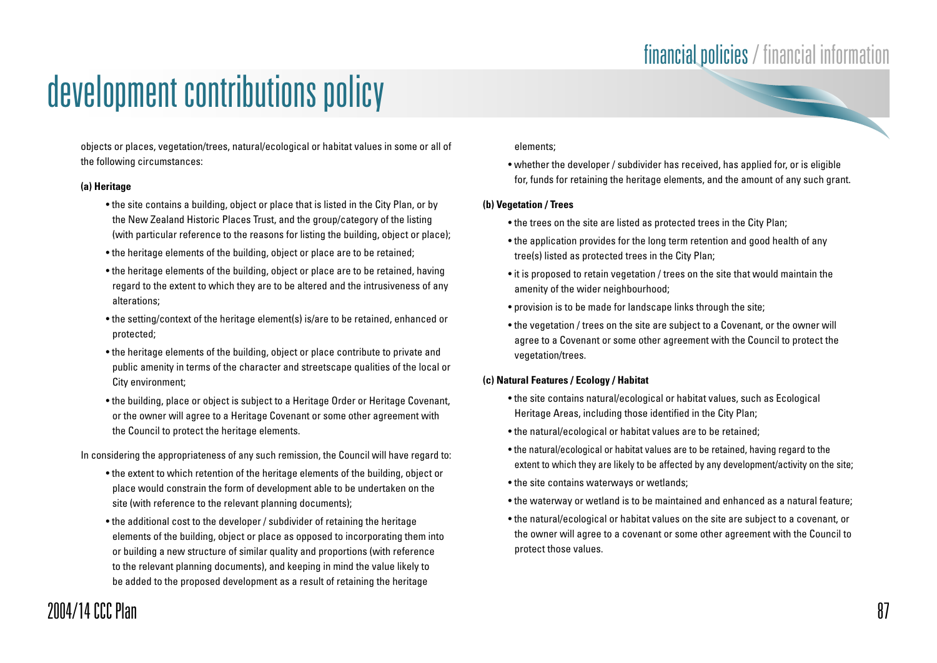### financial policies / financial information

# development contributions policy

objects or places, vegetation/trees, natural/ecological or habitat values in some or all of the following circumstances:

#### **(a) Heritage**

- the site contains a building, object or place that is listed in the City Plan, or by the New Zealand Historic Places Trust, and the group/category of the listing (with particular reference to the reasons for listing the building, object or place);
- the heritage elements of the building, object or place are to be retained;
- the heritage elements of the building, object or place are to be retained, having regard to the extent to which they are to be altered and the intrusiveness of any alterations;
- the setting/context of the heritage element(s) is/are to be retained, enhanced or protected;
- the heritage elements of the building, object or place contribute to private and public amenity in terms of the character and streetscape qualities of the local or City environment;
- the building, place or object is subject to a Heritage Order or Heritage Covenant, or the owner will agree to a Heritage Covenant or some other agreement with the Council to protect the heritage elements.

In considering the appropriateness of any such remission, the Council will have regard to:

- the extent to which retention of the heritage elements of the building, object or place would constrain the form of development able to be undertaken on the site (with reference to the relevant planning documents);
- the additional cost to the developer / subdivider of retaining the heritage elements of the building, object or place as opposed to incorporating them into or building a new structure of similar quality and proportions (with reference to the relevant planning documents), and keeping in mind the value likely to be added to the proposed development as a result of retaining the heritage

#### elements;

• whether the developer / subdivider has received, has applied for, or is eligible for, funds for retaining the heritage elements, and the amount of any such grant.

#### **(b) Vegetation / Trees**

- the trees on the site are listed as protected trees in the City Plan;
- the application provides for the long term retention and good health of any tree(s) listed as protected trees in the City Plan;
- it is proposed to retain vegetation / trees on the site that would maintain the amenity of the wider neighbourhood;
- provision is to be made for landscape links through the site;
- the vegetation / trees on the site are subject to a Covenant, or the owner will agree to a Covenant or some other agreement with the Council to protect the vegetation/trees.

#### **(c) Natural Features / Ecology / Habitat**

- the site contains natural/ecological or habitat values, such as Ecological Heritage Areas, including those identified in the City Plan;
- the natural/ecological or habitat values are to be retained;
- the natural/ecological or habitat values are to be retained, having regard to the extent to which they are likely to be affected by any development/activity on the site;
- the site contains waterways or wetlands;
- the waterway or wetland is to be maintained and enhanced as a natural feature;
- the natural/ecological or habitat values on the site are subject to a covenant, or the owner will agree to a covenant or some other agreement with the Council to protect those values.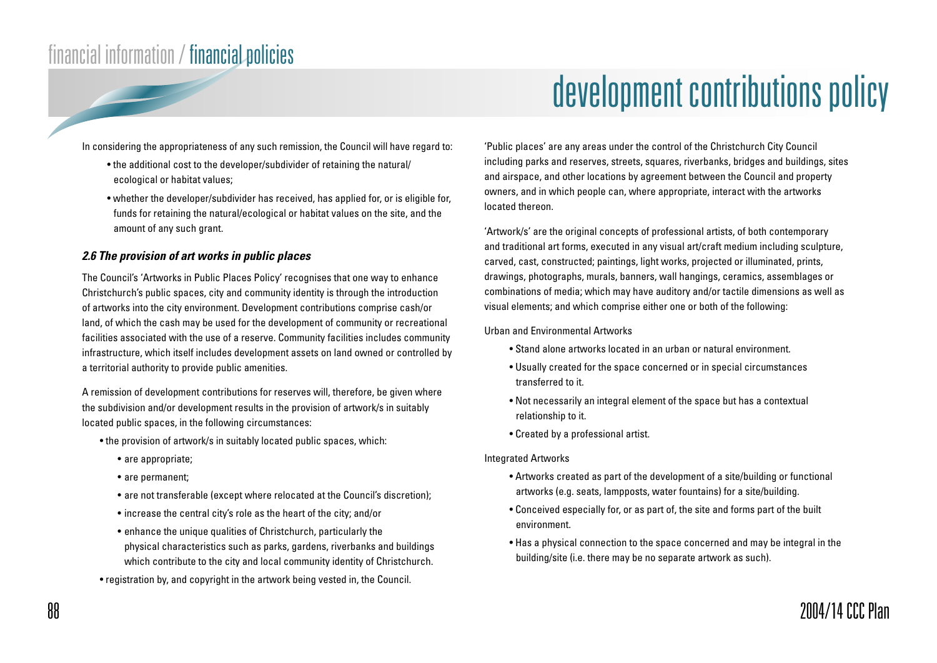# development contributions policy

In considering the appropriateness of any such remission, the Council will have regard to:

- the additional cost to the developer/subdivider of retaining the natural/ ecological or habitat values;
- whether the developer/subdivider has received, has applied for, or is eligible for, funds for retaining the natural/ecological or habitat values on the site, and the amount of any such grant.

#### **2.6 The provision of art works in public places**

The Council's 'Artworks in Public Places Policy' recognises that one way to enhance Christchurch's public spaces, city and community identity is through the introduction of artworks into the city environment. Development contributions comprise cash/or land, of which the cash may be used for the development of community or recreational facilities associated with the use of a reserve. Community facilities includes community infrastructure, which itself includes development assets on land owned or controlled by a territorial authority to provide public amenities.

A remission of development contributions for reserves will, therefore, be given where the subdivision and/or development results in the provision of artwork/s in suitably located public spaces, in the following circumstances:

- the provision of artwork/s in suitably located public spaces, which:
	- are appropriate;
	- are permanent;
	- are not transferable (except where relocated at the Council's discretion);
	- increase the central city's role as the heart of the city; and/or
	- enhance the unique qualities of Christchurch, particularly the physical characteristics such as parks, gardens, riverbanks and buildings which contribute to the city and local community identity of Christchurch.
- registration by, and copyright in the artwork being vested in, the Council.

'Public places' are any areas under the control of the Christchurch City Council including parks and reserves, streets, squares, riverbanks, bridges and buildings, sites and airspace, and other locations by agreement between the Council and property owners, and in which people can, where appropriate, interact with the artworks located thereon.

'Artwork/s' are the original concepts of professional artists, of both contemporary and traditional art forms, executed in any visual art/craft medium including sculpture, carved, cast, constructed; paintings, light works, projected or illuminated, prints, drawings, photographs, murals, banners, wall hangings, ceramics, assemblages or combinations of media; which may have auditory and/or tactile dimensions as well as visual elements; and which comprise either one or both of the following:

Urban and Environmental Artworks

- Stand alone artworks located in an urban or natural environment.
- Usually created for the space concerned or in special circumstances transferred to it.
- Not necessarily an integral element of the space but has a contextual relationship to it.
- Created by a professional artist.

#### Integrated Artworks

- Artworks created as part of the development of a site/building or functional artworks (e.g. seats, lampposts, water fountains) for a site/building.
- Conceived especially for, or as part of, the site and forms part of the built environment.
- Has a physical connection to the space concerned and may be integral in the building/site (i.e. there may be no separate artwork as such).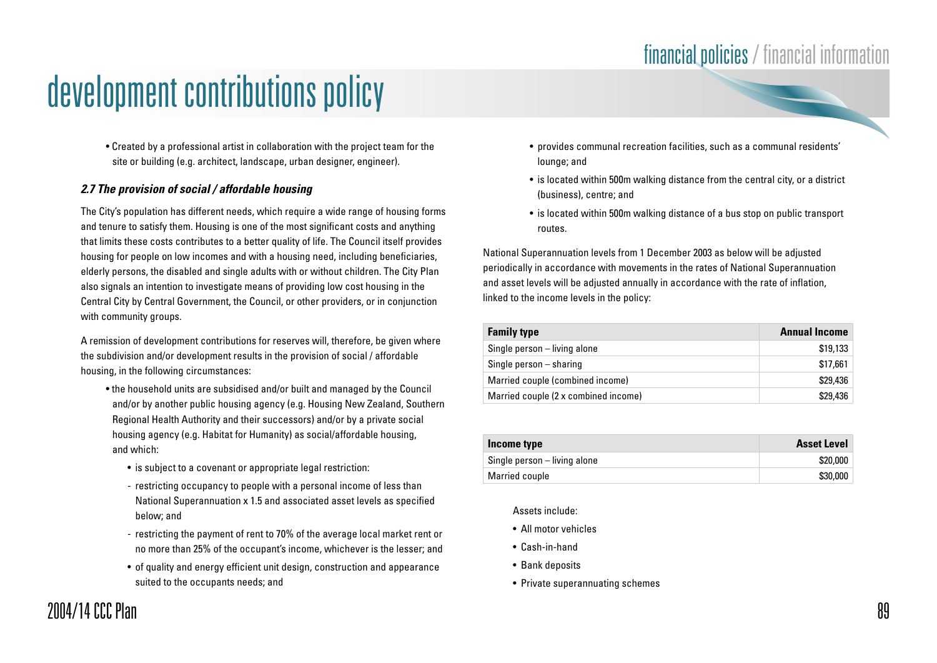• Created by a professional artist in collaboration with the project team for the site or building (e.g. architect, landscape, urban designer, engineer).

#### **2.7 The provision of social / affordable housing**

The City's population has different needs, which require a wide range of housing forms and tenure to satisfy them. Housing is one of the most significant costs and anything that limits these costs contributes to a better quality of life. The Council itself provides housing for people on low incomes and with a housing need, including beneficiaries, elderly persons, the disabled and single adults with or without children. The City Plan also signals an intention to investigate means of providing low cost housing in the Central City by Central Government, the Council, or other providers, or in conjunction with community groups.

A remission of development contributions for reserves will, therefore, be given where the subdivision and/or development results in the provision of social / affordable housing, in the following circumstances:

- the household units are subsidised and/or built and managed by the Council and/or by another public housing agency (e.g. Housing New Zealand, Southern Regional Health Authority and their successors) and/or by a private social housing agency (e.g. Habitat for Humanity) as social/affordable housing, and which:
	- is subject to a covenant or appropriate legal restriction:
	- restricting occupancy to people with a personal income of less than National Superannuation x 1.5 and associated asset levels as specified below; and
	- restricting the payment of rent to 70% of the average local market rent or no more than 25% of the occupant's income, whichever is the lesser; and
	- of quality and energy efficient unit design, construction and appearance suited to the occupants needs; and
- provides communal recreation facilities, such as a communal residents' lounge; and
- is located within 500m walking distance from the central city, or a district (business), centre; and
- is located within 500m walking distance of a bus stop on public transport routes.

National Superannuation levels from 1 December 2003 as below will be adjusted periodically in accordance with movements in the rates of National Superannuation and asset levels will be adjusted annually in accordance with the rate of inflation, linked to the income levels in the policy:

| <b>Family type</b>                   | <b>Annual Income</b> |
|--------------------------------------|----------------------|
| Single person – living alone         | \$19,133             |
| Single person $-$ sharing            | \$17,661             |
| Married couple (combined income)     | \$29,436             |
| Married couple (2 x combined income) | \$29,436             |

| Income type                  | <b>Asset Level</b> |
|------------------------------|--------------------|
| Single person – living alone | \$20,000           |
| Married couple               | \$30,000           |

Assets include:

- All motor vehicles
- Cash-in-hand
- Bank deposits
- Private superannuating schemes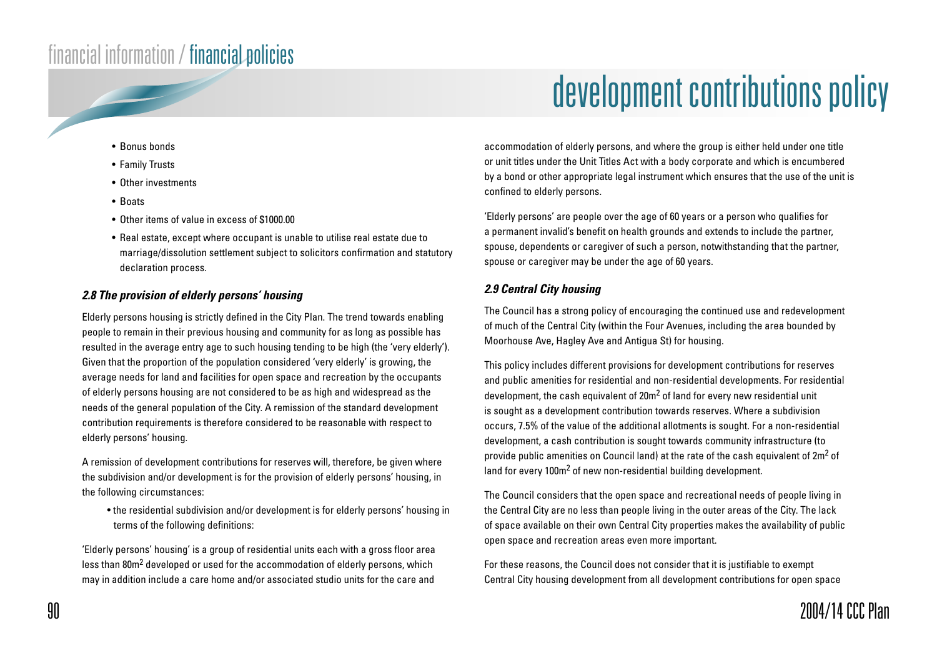# development contributions policy

- Bonus bonds
- Family Trusts
- Other investments
- Boats
- Other items of value in excess of \$1000.00
- Real estate, except where occupant is unable to utilise real estate due to marriage/dissolution settlement subject to solicitors confirmation and statutory declaration process.

#### **2.8 The provision of elderly persons' housing**

Elderly persons housing is strictly defined in the City Plan. The trend towards enabling people to remain in their previous housing and community for as long as possible has resulted in the average entry age to such housing tending to be high (the 'very elderly'). Given that the proportion of the population considered 'very elderly' is growing, the average needs for land and facilities for open space and recreation by the occupants of elderly persons housing are not considered to be as high and widespread as the needs of the general population of the City. A remission of the standard development contribution requirements is therefore considered to be reasonable with respect to elderly persons' housing.

A remission of development contributions for reserves will, therefore, be given where the subdivision and/or development is for the provision of elderly persons' housing, in the following circumstances:

• the residential subdivision and/or development is for elderly persons' housing in terms of the following definitions:

'Elderly persons' housing' is a group of residential units each with a gross floor area less than 80m<sup>2</sup> developed or used for the accommodation of elderly persons, which may in addition include a care home and/or associated studio units for the care and

accommodation of elderly persons, and where the group is either held under one title or unit titles under the Unit Titles Act with a body corporate and which is encumbered by a bond or other appropriate legal instrument which ensures that the use of the unit is confined to elderly persons.

'Elderly persons' are people over the age of 60 years or a person who qualifies for a permanent invalid's benefit on health grounds and extends to include the partner, spouse, dependents or caregiver of such a person, notwithstanding that the partner, spouse or caregiver may be under the age of 60 years.

#### **2.9 Central City housing**

The Council has a strong policy of encouraging the continued use and redevelopment of much of the Central City (within the Four Avenues, including the area bounded by Moorhouse Ave, Hagley Ave and Antigua St) for housing.

This policy includes different provisions for development contributions for reserves and public amenities for residential and non-residential developments. For residential development, the cash equivalent of 20m<sup>2</sup> of land for every new residential unit is sought as a development contribution towards reserves. Where a subdivision occurs, 7.5% of the value of the additional allotments is sought. For a non-residential development, a cash contribution is sought towards community infrastructure (to provide public amenities on Council land) at the rate of the cash equivalent of 2m<sup>2</sup> of land for every 100m<sup>2</sup> of new non-residential building development.

The Council considers that the open space and recreational needs of people living in the Central City are no less than people living in the outer areas of the City. The lack of space available on their own Central City properties makes the availability of public open space and recreation areas even more important.

For these reasons, the Council does not consider that it is justifiable to exempt Central City housing development from all development contributions for open space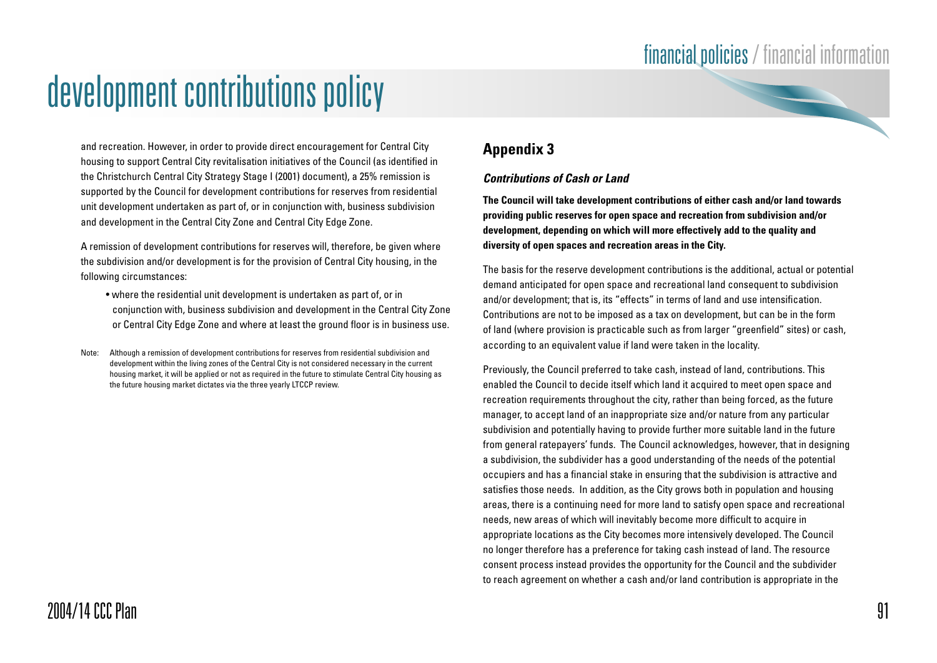and recreation. However, in order to provide direct encouragement for Central City housing to support Central City revitalisation initiatives of the Council (as identified in the Christchurch Central City Strategy Stage I (2001) document), a 25% remission is supported by the Council for development contributions for reserves from residential unit development undertaken as part of, or in conjunction with, business subdivision and development in the Central City Zone and Central City Edge Zone.

A remission of development contributions for reserves will, therefore, be given where the subdivision and/or development is for the provision of Central City housing, in the following circumstances:

- where the residential unit development is undertaken as part of, or in conjunction with, business subdivision and development in the Central City Zone or Central City Edge Zone and where at least the ground floor is in business use.
- Note: Although a remission of development contributions for reserves from residential subdivision and development within the living zones of the Central City is not considered necessary in the current housing market, it will be applied or not as required in the future to stimulate Central City housing as the future housing market dictates via the three yearly LTCCP review.

### **Appendix 3**

#### **Contributions of Cash or Land**

**The Council will take development contributions of either cash and/or land towards providing public reserves for open space and recreation from subdivision and/or development, depending on which will more effectively add to the quality and diversity of open spaces and recreation areas in the City.**

The basis for the reserve development contributions is the additional, actual or potential demand anticipated for open space and recreational land consequent to subdivision and/or development; that is, its "effects" in terms of land and use intensification. Contributions are not to be imposed as a tax on development, but can be in the form of land (where provision is practicable such as from larger "greenfield" sites) or cash, according to an equivalent value if land were taken in the locality.

Previously, the Council preferred to take cash, instead of land, contributions. This enabled the Council to decide itself which land it acquired to meet open space and recreation requirements throughout the city, rather than being forced, as the future manager, to accept land of an inappropriate size and/or nature from any particular subdivision and potentially having to provide further more suitable land in the future from general ratepayers' funds. The Council acknowledges, however, that in designing a subdivision, the subdivider has a good understanding of the needs of the potential occupiers and has a financial stake in ensuring that the subdivision is attractive and satisfies those needs. In addition, as the City grows both in population and housing areas, there is a continuing need for more land to satisfy open space and recreational needs, new areas of which will inevitably become more difficult to acquire in appropriate locations as the City becomes more intensively developed. The Council no longer therefore has a preference for taking cash instead of land. The resource consent process instead provides the opportunity for the Council and the subdivider to reach agreement on whether a cash and/or land contribution is appropriate in the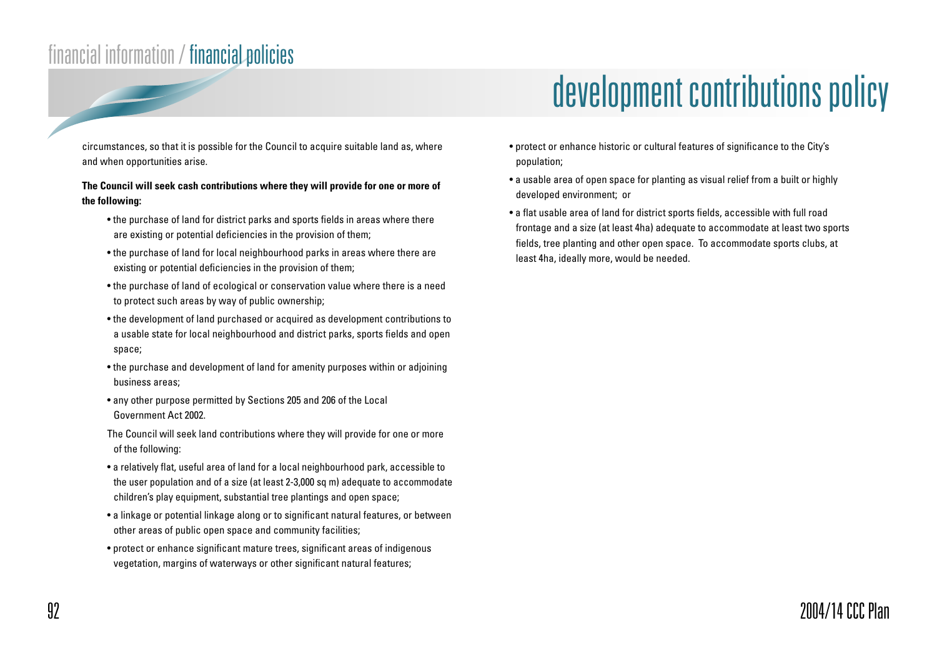circumstances, so that it is possible for the Council to acquire suitable land as, where and when opportunities arise.

#### **The Council will seek cash contributions where they will provide for one or more of the following:**

- the purchase of land for district parks and sports fields in areas where there are existing or potential deficiencies in the provision of them;
- the purchase of land for local neighbourhood parks in areas where there are existing or potential deficiencies in the provision of them;
- the purchase of land of ecological or conservation value where there is a need to protect such areas by way of public ownership;
- the development of land purchased or acquired as development contributions to a usable state for local neighbourhood and district parks, sports fields and open space;
- the purchase and development of land for amenity purposes within or adjoining business areas;
- any other purpose permitted by Sections 205 and 206 of the Local Government Act 2002.
- The Council will seek land contributions where they will provide for one or more of the following:
- a relatively flat, useful area of land for a local neighbourhood park, accessible to the user population and of a size (at least 2-3,000 sq m) adequate to accommodate children's play equipment, substantial tree plantings and open space;
- a linkage or potential linkage along or to significant natural features, or between other areas of public open space and community facilities;
- protect or enhance significant mature trees, significant areas of indigenous vegetation, margins of waterways or other significant natural features;

## development contributions policy

- protect or enhance historic or cultural features of significance to the City's population;
- a usable area of open space for planting as visual relief from a built or highly developed environment; or
- a flat usable area of land for district sports fields, accessible with full road frontage and a size (at least 4ha) adequate to accommodate at least two sports fields, tree planting and other open space. To accommodate sports clubs, at least 4ha, ideally more, would be needed.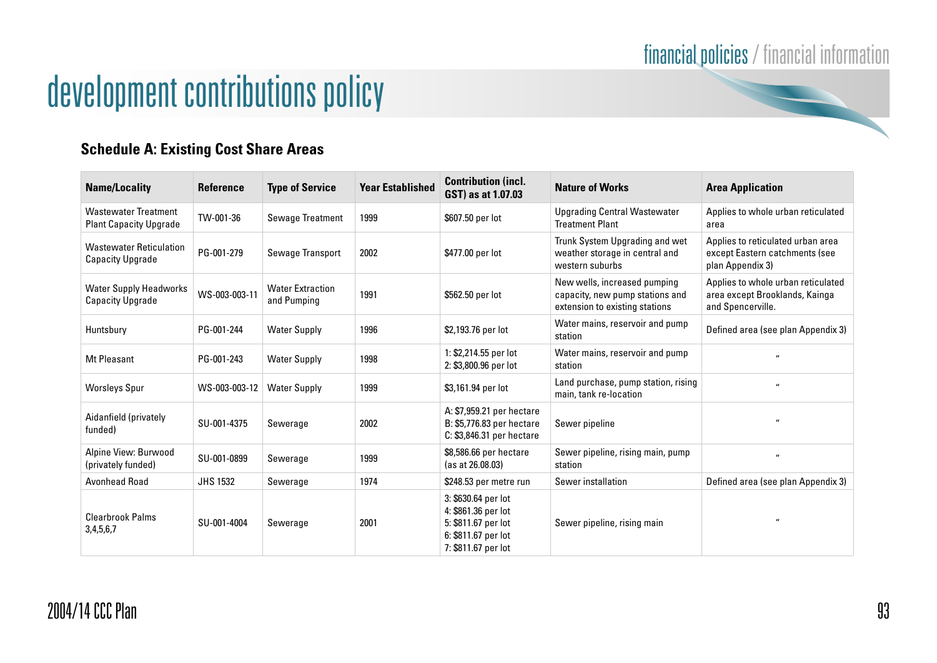# development contributions policy

### **Schedule A: Existing Cost Share Areas**

| <b>Name/Locality</b>                                         | <b>Reference</b> | <b>Type of Service</b>                 | <b>Year Established</b> | <b>Contribution (incl.</b><br>GST) as at 1.07.03                                                                | <b>Nature of Works</b>                                                                            | <b>Area Application</b>                                                                   |
|--------------------------------------------------------------|------------------|----------------------------------------|-------------------------|-----------------------------------------------------------------------------------------------------------------|---------------------------------------------------------------------------------------------------|-------------------------------------------------------------------------------------------|
| <b>Wastewater Treatment</b><br><b>Plant Capacity Upgrade</b> | TW-001-36        | <b>Sewage Treatment</b>                | 1999                    | \$607.50 per lot                                                                                                | <b>Upgrading Central Wastewater</b><br><b>Treatment Plant</b>                                     | Applies to whole urban reticulated<br>area                                                |
| <b>Wastewater Reticulation</b><br><b>Capacity Upgrade</b>    | PG-001-279       | Sewage Transport                       | 2002                    | \$477.00 per lot                                                                                                | Trunk System Upgrading and wet<br>weather storage in central and<br>western suburbs               | Applies to reticulated urban area<br>except Eastern catchments (see<br>plan Appendix 3)   |
| <b>Water Supply Headworks</b><br><b>Capacity Upgrade</b>     | WS-003-003-11    | <b>Water Extraction</b><br>and Pumping | 1991                    | \$562.50 per lot                                                                                                | New wells, increased pumping<br>capacity, new pump stations and<br>extension to existing stations | Applies to whole urban reticulated<br>area except Brooklands, Kainga<br>and Spencerville. |
| Huntsbury                                                    | PG-001-244       | <b>Water Supply</b>                    | 1996                    | \$2,193.76 per lot                                                                                              | Water mains, reservoir and pump<br>station                                                        | Defined area (see plan Appendix 3)                                                        |
| <b>Mt Pleasant</b>                                           | PG-001-243       | <b>Water Supply</b>                    | 1998                    | 1: \$2,214.55 per lot<br>2: \$3,800.96 per lot                                                                  | Water mains, reservoir and pump<br>station                                                        | $\mathbf{u}$                                                                              |
| <b>Worsleys Spur</b>                                         | WS-003-003-12    | <b>Water Supply</b>                    | 1999                    | \$3,161.94 per lot                                                                                              | Land purchase, pump station, rising<br>main, tank re-location                                     | $\mathbf{u}$                                                                              |
| Aidanfield (privately<br>funded)                             | SU-001-4375      | Sewerage                               | 2002                    | A: \$7,959.21 per hectare<br>B: \$5,776.83 per hectare<br>C: \$3,846.31 per hectare                             | Sewer pipeline                                                                                    | $^{\prime\prime}$                                                                         |
| Alpine View: Burwood<br>(privately funded)                   | SU-001-0899      | Sewerage                               | 1999                    | \$8,586.66 per hectare<br>(as at 26.08.03)                                                                      | Sewer pipeline, rising main, pump<br>station                                                      | $\mathbf{u}$                                                                              |
| Avonhead Road                                                | <b>JHS 1532</b>  | Sewerage                               | 1974                    | \$248.53 per metre run                                                                                          | Sewer installation                                                                                | Defined area (see plan Appendix 3)                                                        |
| <b>Clearbrook Palms</b><br>3,4,5,6,7                         | SU-001-4004      | Sewerage                               | 2001                    | 3: \$630.64 per lot<br>4: \$861.36 per lot<br>5: \$811.67 per lot<br>6: \$811.67 per lot<br>7: \$811.67 per lot | Sewer pipeline, rising main                                                                       | $\mathbf{u}$                                                                              |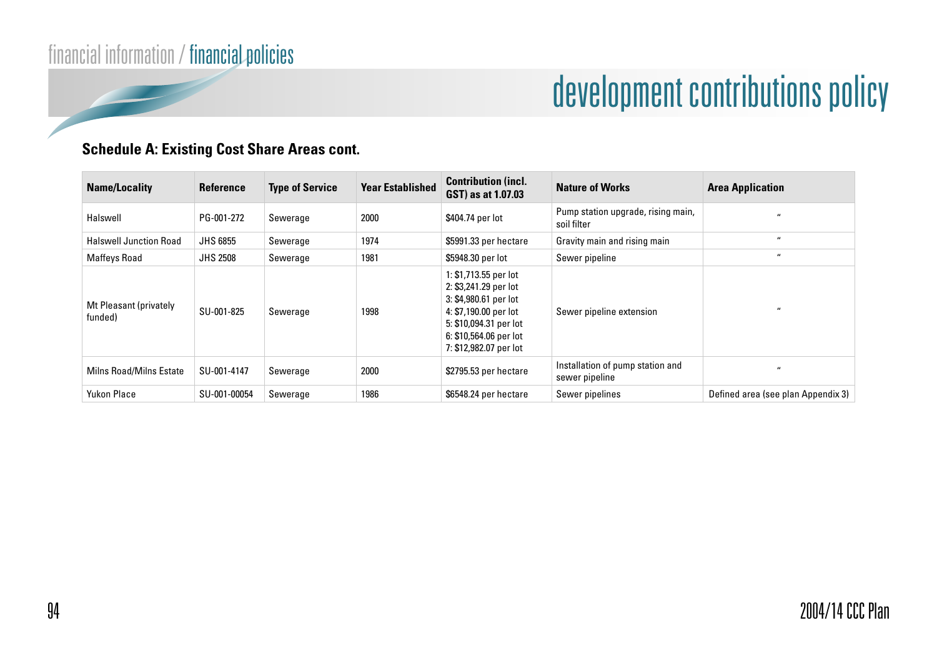### **Schedule A: Existing Cost Share Areas cont.**

| <b>Name/Locality</b>              | <b>Reference</b> | <b>Type of Service</b> | <b>Year Established</b> | <b>Contribution (incl.</b><br>GST) as at 1.07.03                                                                                                                               | <b>Nature of Works</b>                             | <b>Area Application</b>            |
|-----------------------------------|------------------|------------------------|-------------------------|--------------------------------------------------------------------------------------------------------------------------------------------------------------------------------|----------------------------------------------------|------------------------------------|
| Halswell                          | PG-001-272       | Sewerage               | 2000                    | \$404.74 per lot                                                                                                                                                               | Pump station upgrade, rising main,<br>soil filter  | $\mathbf{u}$                       |
| <b>Halswell Junction Road</b>     | <b>JHS 6855</b>  | Sewerage               | 1974                    | \$5991.33 per hectare                                                                                                                                                          | Gravity main and rising main                       | $\overline{u}$                     |
| Maffeys Road                      | <b>JHS 2508</b>  | Sewerage               | 1981                    | \$5948.30 per lot                                                                                                                                                              | Sewer pipeline                                     | $\overline{u}$                     |
| Mt Pleasant (privately<br>funded) | SU-001-825       | Sewerage               | 1998                    | 1: \$1,713.55 per lot<br>2: \$3,241.29 per lot<br>3: \$4,980.61 per lot<br>4: \$7,190.00 per lot<br>5: \$10,094.31 per lot<br>6: \$10,564.06 per lot<br>7: \$12,982.07 per lot | Sewer pipeline extension                           | $\overline{u}$                     |
| <b>Milns Road/Milns Estate</b>    | SU-001-4147      | Sewerage               | 2000                    | \$2795.53 per hectare                                                                                                                                                          | Installation of pump station and<br>sewer pipeline | $\overline{u}$                     |
| <b>Yukon Place</b>                | SU-001-00054     | Sewerage               | 1986                    | \$6548.24 per hectare                                                                                                                                                          | Sewer pipelines                                    | Defined area (see plan Appendix 3) |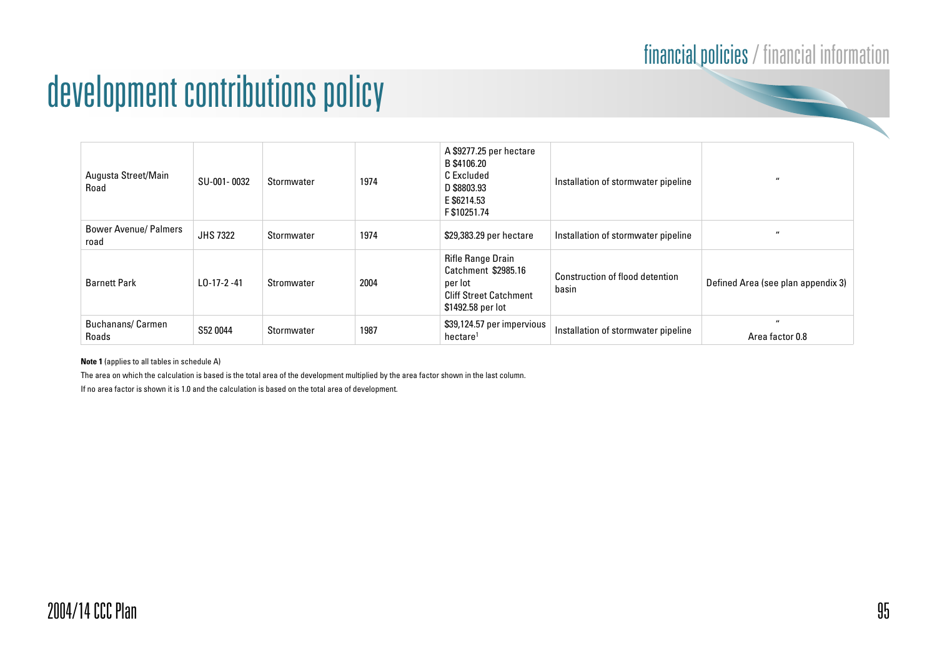### financial policies / financial information

## development contributions policy

| Augusta Street/Main<br>Road          | SU-001-0032     | Stormwater | 1974 | A \$9277.25 per hectare<br>B \$4106.20<br>C Excluded<br>D \$8803.93<br>E \$6214.53<br>F \$10251.74        | Installation of stormwater pipeline      | $\overline{u}$                       |
|--------------------------------------|-----------------|------------|------|-----------------------------------------------------------------------------------------------------------|------------------------------------------|--------------------------------------|
| <b>Bower Avenue/ Palmers</b><br>road | <b>JHS 7322</b> | Stormwater | 1974 | \$29,383.29 per hectare                                                                                   | Installation of stormwater pipeline      |                                      |
| <b>Barnett Park</b>                  | LO-17-2-41      | Stromwater | 2004 | Rifle Range Drain<br>Catchment \$2985.16<br>per lot<br><b>Cliff Street Catchment</b><br>\$1492.58 per lot | Construction of flood detention<br>basin | Defined Area (see plan appendix 3)   |
| <b>Buchanans/Carmen</b><br>Roads     | S52 0044        | Stormwater | 1987 | \$39,124.57 per impervious<br>hectare                                                                     | Installation of stormwater pipeline      | $^{\prime\prime}$<br>Area factor 0.8 |

**Note 1** (applies to all tables in schedule A)

The area on which the calculation is based is the total area of the development multiplied by the area factor shown in the last column.

If no area factor is shown it is 1.0 and the calculation is based on the total area of development.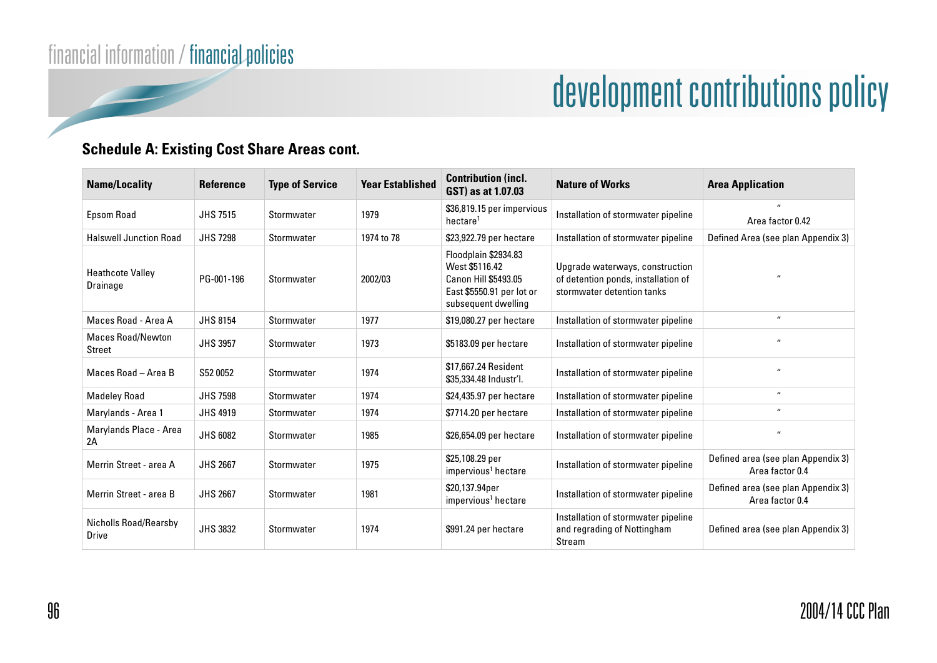### **Schedule A: Existing Cost Share Areas cont.**

| <b>Name/Locality</b>                  | <b>Reference</b> | <b>Type of Service</b> | <b>Year Established</b> | <b>Contribution (incl.</b><br>GST) as at 1.07.03                                                                          | <b>Nature of Works</b>                                                                               | <b>Area Application</b>                               |
|---------------------------------------|------------------|------------------------|-------------------------|---------------------------------------------------------------------------------------------------------------------------|------------------------------------------------------------------------------------------------------|-------------------------------------------------------|
| Epsom Road                            | <b>JHS 7515</b>  | Stormwater             | 1979                    | \$36,819.15 per impervious<br>hectare <sup>1</sup>                                                                        | Installation of stormwater pipeline                                                                  | Area factor 0.42                                      |
| <b>Halswell Junction Road</b>         | <b>JHS 7298</b>  | Stormwater             | 1974 to 78              | \$23,922.79 per hectare                                                                                                   | Installation of stormwater pipeline                                                                  | Defined Area (see plan Appendix 3)                    |
| <b>Heathcote Valley</b><br>Drainage   | PG-001-196       | Stormwater             | 2002/03                 | Floodplain \$2934.83<br>West \$5116.42<br><b>Canon Hill \$5493.05</b><br>East \$5550.91 per lot or<br>subsequent dwelling | Upgrade waterways, construction<br>of detention ponds, installation of<br>stormwater detention tanks | $\mathbf{u}$                                          |
| Maces Road - Area A                   | <b>JHS 8154</b>  | Stormwater             | 1977                    | \$19,080.27 per hectare                                                                                                   | Installation of stormwater pipeline                                                                  | $\mathbf{u}$                                          |
| <b>Maces Road/Newton</b><br>Street    | <b>JHS 3957</b>  | Stormwater             | 1973                    | \$5183.09 per hectare                                                                                                     | Installation of stormwater pipeline                                                                  | $\mathbf{u}$                                          |
| Maces Road - Area B                   | S52 0052         | Stormwater             | 1974                    | \$17,667,24 Resident<br>\$35,334.48 Industr'l.                                                                            | Installation of stormwater pipeline                                                                  | $\mathbf{u}$                                          |
| <b>Madeley Road</b>                   | <b>JHS 7598</b>  | Stormwater             | 1974                    | \$24,435.97 per hectare                                                                                                   | Installation of stormwater pipeline                                                                  | $\mathbf{u}$                                          |
| Marylands - Area 1                    | <b>JHS 4919</b>  | Stormwater             | 1974                    | \$7714.20 per hectare                                                                                                     | Installation of stormwater pipeline                                                                  | $\mathbf{u}$                                          |
| Marylands Place - Area<br>2A          | <b>JHS 6082</b>  | Stormwater             | 1985                    | \$26,654.09 per hectare                                                                                                   | Installation of stormwater pipeline                                                                  | $\overline{\mathbf{u}}$                               |
| Merrin Street - area A                | <b>JHS 2667</b>  | Stormwater             | 1975                    | \$25,108.29 per<br>impervious <sup>1</sup> hectare                                                                        | Installation of stormwater pipeline                                                                  | Defined area (see plan Appendix 3)<br>Area factor 0.4 |
| Merrin Street - area B                | <b>JHS 2667</b>  | Stormwater             | 1981                    | \$20,137.94per<br>impervious <sup>1</sup> hectare                                                                         | Installation of stormwater pipeline                                                                  | Defined area (see plan Appendix 3)<br>Area factor 0.4 |
| Nicholls Road/Rearsby<br><b>Drive</b> | <b>JHS 3832</b>  | Stormwater             | 1974                    | \$991.24 per hectare                                                                                                      | Installation of stormwater pipeline<br>and regrading of Nottingham<br>Stream                         | Defined area (see plan Appendix 3)                    |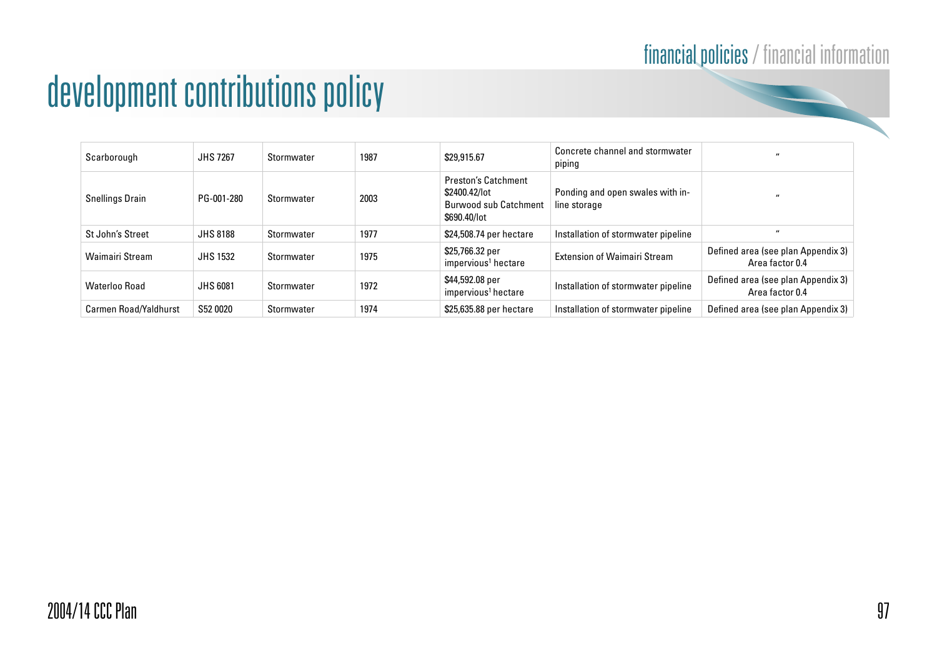## financial policies / financial information

## development contributions policy

| Scarborough            | <b>JHS 7267</b> | Stormwater | 1987 | \$29,915.67                                                                                 | Concrete channel and stormwater<br>piping        |                                                       |
|------------------------|-----------------|------------|------|---------------------------------------------------------------------------------------------|--------------------------------------------------|-------------------------------------------------------|
| <b>Snellings Drain</b> | PG-001-280      | Stormwater | 2003 | <b>Preston's Catchment</b><br>\$2400.42/lot<br><b>Burwood sub Catchment</b><br>\$690,40/lot | Ponding and open swales with in-<br>line storage | $\overline{\mathbf{u}}$                               |
| St John's Street       | <b>JHS 8188</b> | Stormwater | 1977 | \$24,508.74 per hectare                                                                     | Installation of stormwater pipeline              | $\overline{\mathbf{u}}$                               |
| <b>Waimairi Stream</b> | <b>JHS 1532</b> | Stormwater | 1975 | \$25,766.32 per<br>impervious <sup>1</sup> hectare                                          | <b>Extension of Waimairi Stream</b>              | Defined area (see plan Appendix 3)<br>Area factor 0.4 |
| Waterloo Road          | <b>JHS 6081</b> | Stormwater | 1972 | \$44,592.08 per<br>impervious <sup>1</sup> hectare                                          | Installation of stormwater pipeline              | Defined area (see plan Appendix 3)<br>Area factor 0.4 |
| Carmen Road/Yaldhurst  | S52 0020        | Stormwater | 1974 | \$25,635.88 per hectare                                                                     | Installation of stormwater pipeline              | Defined area (see plan Appendix 3)                    |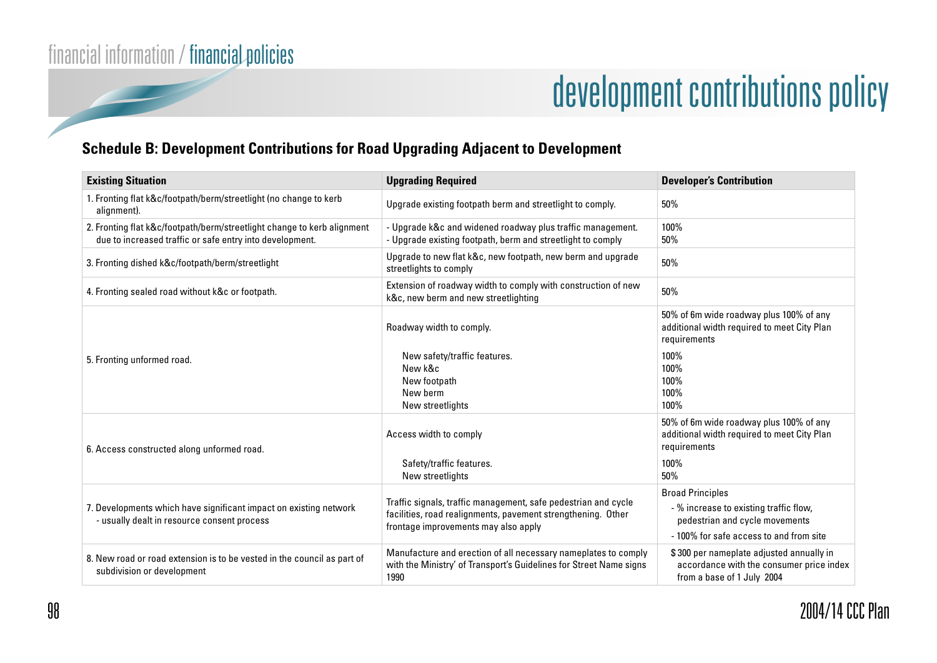### **Schedule B: Development Contributions for Road Upgrading Adjacent to Development**

| <b>Existing Situation</b>                                                                                                           | <b>Upgrading Required</b>                                                                                                                                              | <b>Developer's Contribution</b>                                                                                                                |
|-------------------------------------------------------------------------------------------------------------------------------------|------------------------------------------------------------------------------------------------------------------------------------------------------------------------|------------------------------------------------------------------------------------------------------------------------------------------------|
| 1. Fronting flat k&c/footpath/berm/streetlight (no change to kerb<br>alignment).                                                    | Upgrade existing footpath berm and streetlight to comply.                                                                                                              | 50%                                                                                                                                            |
| 2. Fronting flat k&c/footpath/berm/streetlight change to kerb alignment<br>due to increased traffic or safe entry into development. | - Upgrade k&c and widened roadway plus traffic management.<br>- Upgrade existing footpath, berm and streetlight to comply                                              | 100%<br>50%                                                                                                                                    |
| 3. Fronting dished k&c/footpath/berm/streetlight                                                                                    | Upgrade to new flat k&c, new footpath, new berm and upgrade<br>streetlights to comply                                                                                  | 50%                                                                                                                                            |
| 4. Fronting sealed road without k&c or footpath.                                                                                    | Extension of roadway width to comply with construction of new<br>k&c, new berm and new streetlighting                                                                  | 50%                                                                                                                                            |
|                                                                                                                                     | Roadway width to comply.                                                                                                                                               | 50% of 6m wide roadway plus 100% of any<br>additional width required to meet City Plan<br>requirements                                         |
| 5. Fronting unformed road.                                                                                                          | New safety/traffic features.<br>New k&c<br>New footpath<br>New berm<br>New streetlights                                                                                | 100%<br>100%<br>100%<br>100%<br>100%                                                                                                           |
| 6. Access constructed along unformed road.                                                                                          | Access width to comply<br>Safety/traffic features.                                                                                                                     | 50% of 6m wide roadway plus 100% of any<br>additional width required to meet City Plan<br>requirements<br>100%                                 |
|                                                                                                                                     | New streetlights                                                                                                                                                       | 50%                                                                                                                                            |
| 7. Developments which have significant impact on existing network<br>- usually dealt in resource consent process                    | Traffic signals, traffic management, safe pedestrian and cycle<br>facilities, road realignments, pavement strengthening. Other<br>frontage improvements may also apply | <b>Broad Principles</b><br>- % increase to existing traffic flow,<br>pedestrian and cycle movements<br>- 100% for safe access to and from site |
| 8. New road or road extension is to be vested in the council as part of<br>subdivision or development                               | Manufacture and erection of all necessary nameplates to comply<br>with the Ministry' of Transport's Guidelines for Street Name signs<br>1990                           | \$300 per nameplate adjusted annually in<br>accordance with the consumer price index<br>from a base of 1 July 2004                             |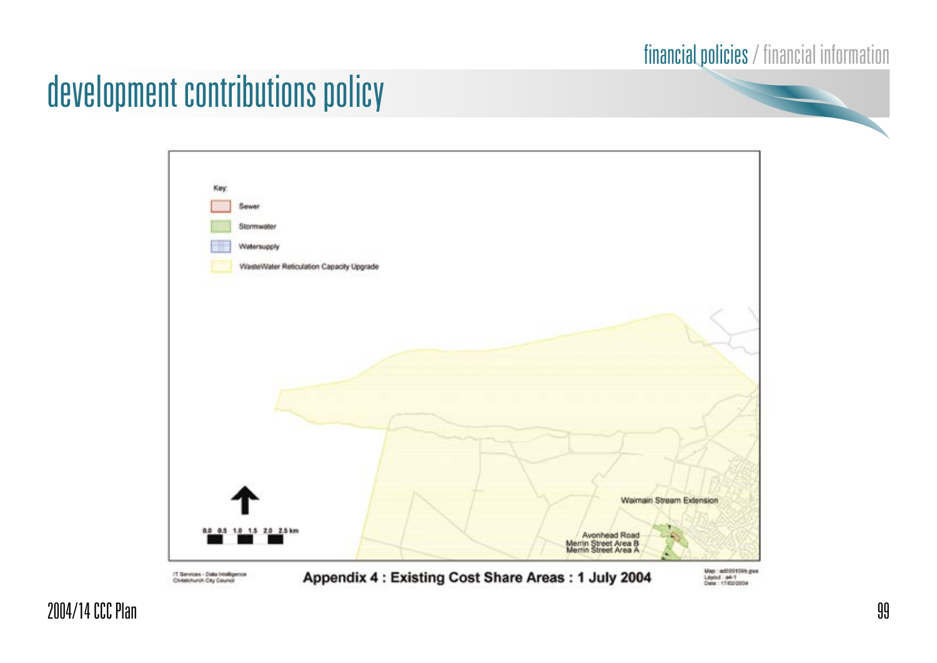### financial policies / financial information

## development contributions policy



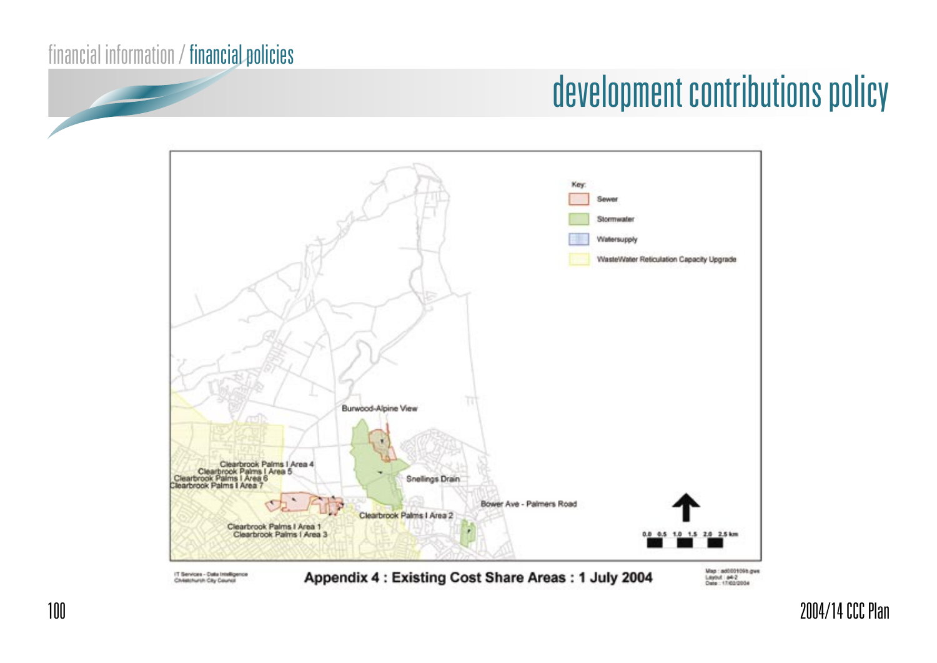# development contributions policy

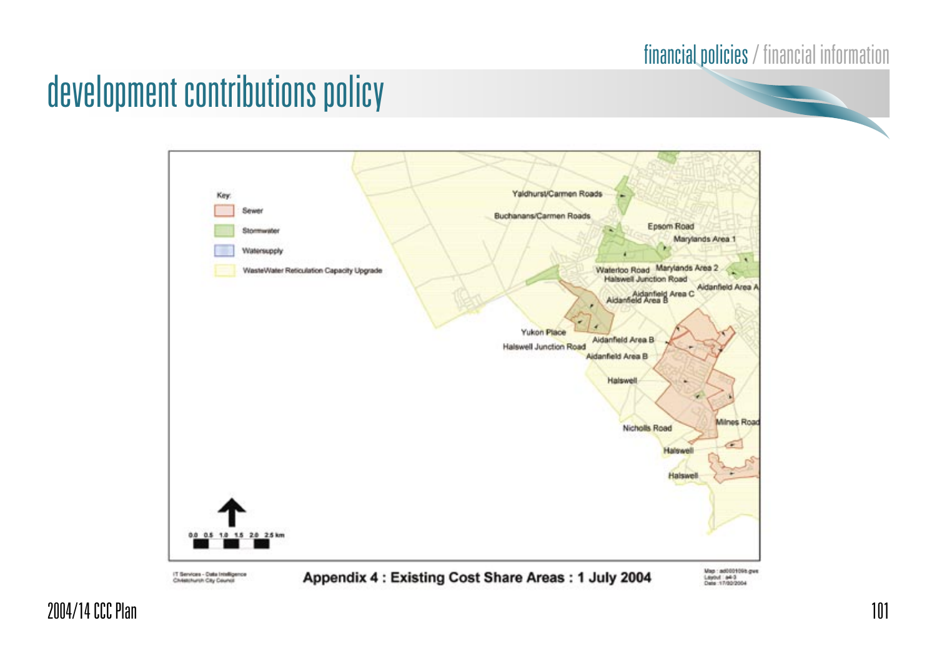### financial policies / financial information

## development contributions policy